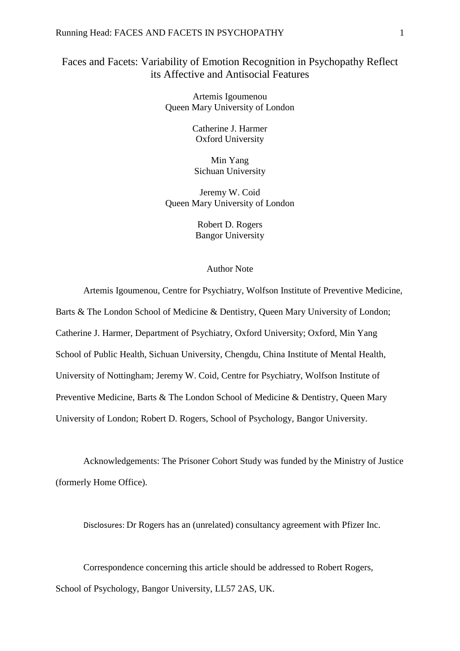### Running Head: FACES AND FACETS IN PSYCHOPATHY 1

# Faces and Facets: Variability of Emotion Recognition in Psychopathy Reflect its Affective and Antisocial Features

Artemis Igoumenou Queen Mary University of London

> Catherine J. Harmer Oxford University

Min Yang Sichuan University

Jeremy W. Coid Queen Mary University of London

> Robert D. Rogers Bangor University

# Author Note

Artemis Igoumenou, Centre for Psychiatry, Wolfson Institute of Preventive Medicine, Barts & The London School of Medicine & Dentistry, Queen Mary University of London; Catherine J. Harmer, Department of Psychiatry, Oxford University; Oxford, Min Yang School of Public Health, Sichuan University, Chengdu, China Institute of Mental Health, University of Nottingham; Jeremy W. Coid, Centre for Psychiatry, Wolfson Institute of Preventive Medicine, Barts & The London School of Medicine & Dentistry, Queen Mary University of London; Robert D. Rogers, School of Psychology, Bangor University.

Acknowledgements: The Prisoner Cohort Study was funded by the Ministry of Justice (formerly Home Office).

Disclosures: Dr Rogers has an (unrelated) consultancy agreement with Pfizer Inc.

Correspondence concerning this article should be addressed to Robert Rogers, School of Psychology, Bangor University, LL57 2AS, UK.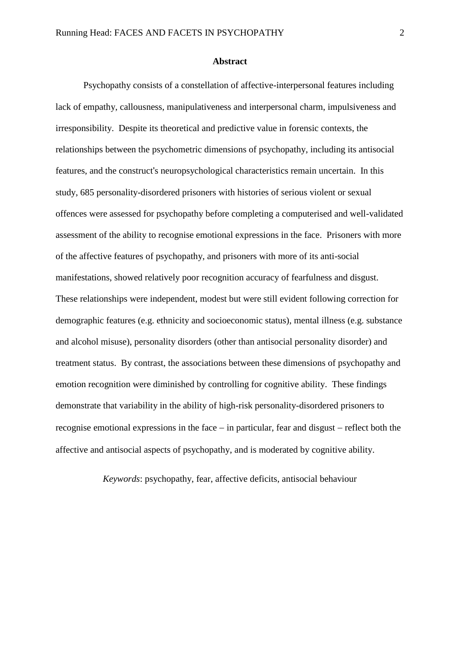#### **Abstract**

Psychopathy consists of a constellation of affective-interpersonal features including lack of empathy, callousness, manipulativeness and interpersonal charm, impulsiveness and irresponsibility. Despite its theoretical and predictive value in forensic contexts, the relationships between the psychometric dimensions of psychopathy, including its antisocial features, and the construct's neuropsychological characteristics remain uncertain. In this study, 685 personality-disordered prisoners with histories of serious violent or sexual offences were assessed for psychopathy before completing a computerised and well-validated assessment of the ability to recognise emotional expressions in the face. Prisoners with more of the affective features of psychopathy, and prisoners with more of its anti-social manifestations, showed relatively poor recognition accuracy of fearfulness and disgust. These relationships were independent, modest but were still evident following correction for demographic features (e.g. ethnicity and socioeconomic status), mental illness (e.g. substance and alcohol misuse), personality disorders (other than antisocial personality disorder) and treatment status. By contrast, the associations between these dimensions of psychopathy and emotion recognition were diminished by controlling for cognitive ability. These findings demonstrate that variability in the ability of high-risk personality-disordered prisoners to recognise emotional expressions in the face  $-$  in particular, fear and disgust  $-$  reflect both the affective and antisocial aspects of psychopathy, and is moderated by cognitive ability.

*Keywords*: psychopathy, fear, affective deficits, antisocial behaviour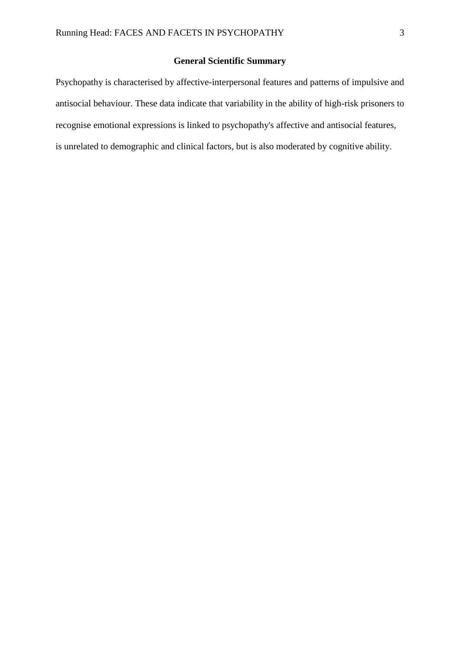# **General Scientific Summary**

Psychopathy is characterised by affective-interpersonal features and patterns of impulsive and antisocial behaviour. These data indicate that variability in the ability of high-risk prisoners to recognise emotional expressions is linked to psychopathy's affective and antisocial features, is unrelated to demographic and clinical factors, but is also moderated by cognitive ability.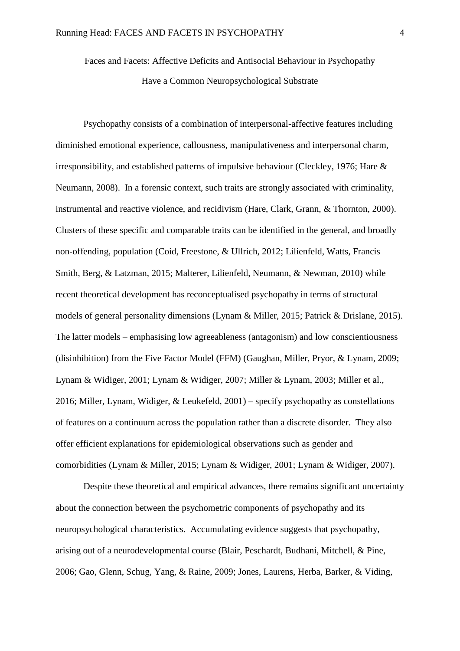Faces and Facets: Affective Deficits and Antisocial Behaviour in Psychopathy Have a Common Neuropsychological Substrate

Psychopathy consists of a combination of interpersonal-affective features including diminished emotional experience, callousness, manipulativeness and interpersonal charm, irresponsibility, and established patterns of impulsive behaviour [\(Cleckley, 1976;](#page-29-0) [Hare &](#page-32-0)  [Neumann, 2008\)](#page-32-0). In a forensic context, such traits are strongly associated with criminality, instrumental and reactive violence, and recidivism [\(Hare, Clark, Grann, & Thornton, 2000\)](#page-32-1). Clusters of these specific and comparable traits can be identified in the general, and broadly non-offending, population [\(Coid, Freestone, & Ullrich, 2012;](#page-29-1) [Lilienfeld, Watts, Francis](#page-34-0)  [Smith, Berg, & Latzman, 2015;](#page-34-0) [Malterer, Lilienfeld, Neumann, & Newman, 2010\)](#page-35-0) while recent theoretical development has reconceptualised psychopathy in terms of structural models of general personality dimensions [\(Lynam & Miller, 2015;](#page-34-1) [Patrick & Drislane, 2015\)](#page-36-0). The latter models – emphasising low agreeableness (antagonism) and low conscientiousness (disinhibition) from the Five Factor Model (FFM) [\(Gaughan, Miller, Pryor, & Lynam, 2009;](#page-31-0) [Lynam & Widiger, 2001;](#page-34-2) [Lynam & Widiger, 2007;](#page-34-3) [Miller & Lynam, 2003;](#page-35-1) [Miller et al.,](#page-35-2)  [2016;](#page-35-2) [Miller, Lynam, Widiger, & Leukefeld, 2001\)](#page-35-3) – specify psychopathy as constellations of features on a continuum across the population rather than a discrete disorder. They also offer efficient explanations for epidemiological observations such as gender and comorbidities [\(Lynam & Miller, 2015;](#page-34-1) [Lynam & Widiger, 2001;](#page-34-2) [Lynam & Widiger, 2007\)](#page-34-3).

Despite these theoretical and empirical advances, there remains significant uncertainty about the connection between the psychometric components of psychopathy and its neuropsychological characteristics. Accumulating evidence suggests that psychopathy, arising out of a neurodevelopmental course [\(Blair, Peschardt, Budhani, Mitchell, & Pine,](#page-28-0)  [2006;](#page-28-0) [Gao, Glenn, Schug, Yang, & Raine, 2009;](#page-31-1) [Jones, Laurens, Herba, Barker, & Viding,](#page-33-0)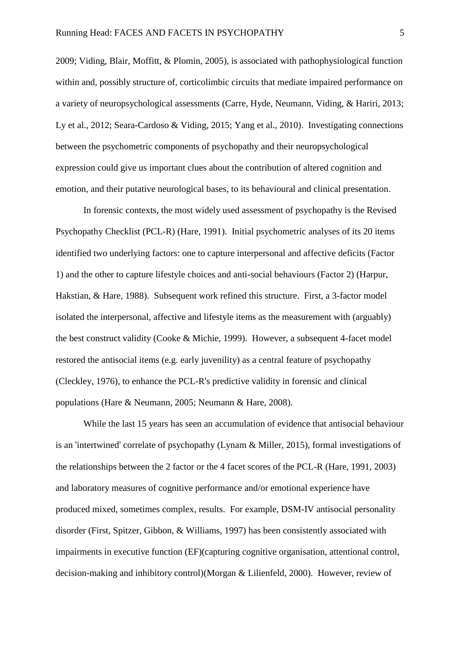[2009;](#page-33-0) [Viding, Blair, Moffitt, & Plomin, 2005\)](#page-39-0), is associated with pathophysiological function within and, possibly structure of, corticolimbic circuits that mediate impaired performance on a variety of neuropsychological assessments [\(Carre, Hyde, Neumann, Viding, & Hariri, 2013;](#page-29-2) [Ly et al., 2012;](#page-34-4) [Seara-Cardoso & Viding, 2015;](#page-37-0) [Yang et al., 2010\)](#page-40-0). Investigating connections between the psychometric components of psychopathy and their neuropsychological expression could give us important clues about the contribution of altered cognition and emotion, and their putative neurological bases, to its behavioural and clinical presentation.

In forensic contexts, the most widely used assessment of psychopathy is the Revised Psychopathy Checklist (PCL-R) [\(Hare, 1991\)](#page-31-2). Initial psychometric analyses of its 20 items identified two underlying factors: one to capture interpersonal and affective deficits (Factor 1) and the other to capture lifestyle choices and anti-social behaviours (Factor 2) [\(Harpur,](#page-33-1)  [Hakstian, & Hare, 1988\)](#page-33-1). Subsequent work refined this structure. First, a 3-factor model isolated the interpersonal, affective and lifestyle items as the measurement with (arguably) the best construct validity [\(Cooke & Michie, 1999\)](#page-30-0). However, a subsequent 4-facet model restored the antisocial items (e.g. early juvenility) as a central feature of psychopathy [\(Cleckley, 1976\)](#page-29-0), to enhance the PCL-R's predictive validity in forensic and clinical populations [\(Hare & Neumann, 2005;](#page-32-2) [Neumann & Hare, 2008\)](#page-36-1).

While the last 15 years has seen an accumulation of evidence that antisocial behaviour is an 'intertwined' correlate of psychopathy [\(Lynam & Miller, 2015\)](#page-34-1), formal investigations of the relationships between the 2 factor or the 4 facet scores of the PCL-R [\(Hare, 1991,](#page-31-2) [2003\)](#page-32-3) and laboratory measures of cognitive performance and/or emotional experience have produced mixed, sometimes complex, results. For example, DSM-IV antisocial personality disorder [\(First, Spitzer, Gibbon, & Williams, 1997\)](#page-31-3) has been consistently associated with impairments in executive function (EF)(capturing cognitive organisation, attentional control, decision-making and inhibitory control)[\(Morgan & Lilienfeld, 2000\)](#page-35-4). However, review of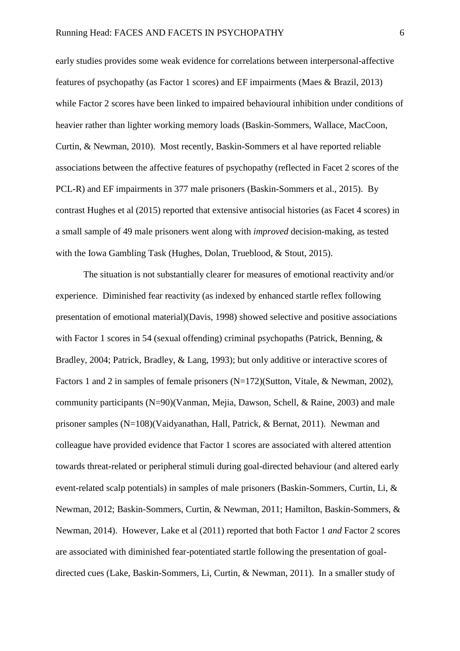early studies provides some weak evidence for correlations between interpersonal-affective features of psychopathy (as Factor 1 scores) and EF impairments [\(Maes & Brazil, 2013\)](#page-35-5) while Factor 2 scores have been linked to impaired behavioural inhibition under conditions of heavier rather than lighter working memory loads (Baskin-Sommers, Wallace, MacCoon, Curtin, & Newman, 2010). Most recently, Baskin-Sommers et al have reported reliable associations between the affective features of psychopathy (reflected in Facet 2 scores of the PCL-R) and EF impairments in 377 male prisoners [\(Baskin-Sommers et al., 2015\)](#page-27-0). By contrast Hughes et al (2015) reported that extensive antisocial histories (as Facet 4 scores) in a small sample of 49 male prisoners went along with *improved* decision-making, as tested with the Iowa Gambling Task [\(Hughes, Dolan, Trueblood, & Stout, 2015\)](#page-33-2).

The situation is not substantially clearer for measures of emotional reactivity and/or experience. Diminished fear reactivity (as indexed by enhanced startle reflex following presentation of emotional material)[\(Davis, 1998\)](#page-30-1) showed selective and positive associations with Factor 1 scores in 54 (sexual offending) criminal psychopaths [\(Patrick, Benning, &](#page-36-2)  [Bradley, 2004;](#page-36-2) [Patrick, Bradley, & Lang, 1993\)](#page-36-3); but only additive or interactive scores of Factors 1 and 2 in samples of female prisoners  $(N=172)$ [\(Sutton, Vitale, & Newman, 2002\)](#page-38-0), community participants (N=90)[\(Vanman, Mejia, Dawson, Schell, & Raine, 2003\)](#page-39-1) and male prisoner samples (N=108)[\(Vaidyanathan, Hall, Patrick, & Bernat, 2011\)](#page-39-2). Newman and colleague have provided evidence that Factor 1 scores are associated with altered attention towards threat-related or peripheral stimuli during goal-directed behaviour (and altered early event-related scalp potentials) in samples of male prisoners (Baskin-Sommers, Curtin, Li, & Newman, 2012; Baskin-Sommers, Curtin, & Newman, 2011; Hamilton, Baskin-Sommers, & Newman, 2014). However, Lake et al (2011) reported that both Factor 1 *and* Factor 2 scores are associated with diminished fear-potentiated startle following the presentation of goaldirected cues [\(Lake, Baskin-Sommers, Li, Curtin, & Newman, 2011\)](#page-34-5). In a smaller study of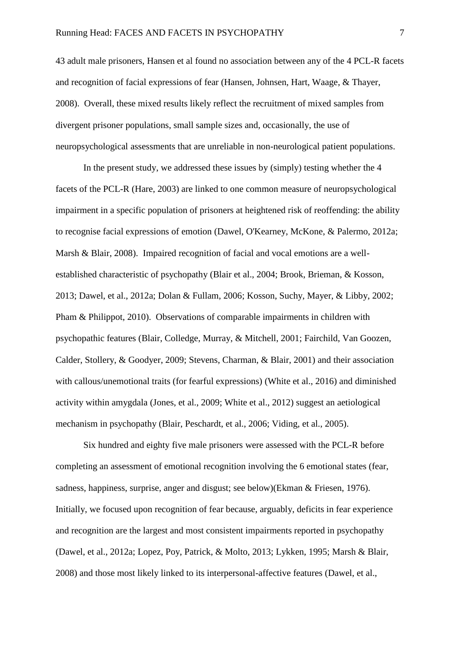43 adult male prisoners, Hansen et al found no association between any of the 4 PCL-R facets and recognition of facial expressions of fear (Hansen, Johnsen, Hart, Waage, & Thayer, 2008). Overall, these mixed results likely reflect the recruitment of mixed samples from divergent prisoner populations, small sample sizes and, occasionally, the use of neuropsychological assessments that are unreliable in non-neurological patient populations.

In the present study, we addressed these issues by (simply) testing whether the 4 facets of the PCL-R [\(Hare, 2003\)](#page-32-3) are linked to one common measure of neuropsychological impairment in a specific population of prisoners at heightened risk of reoffending: the ability to recognise facial expressions of emotion [\(Dawel, O'Kearney, McKone, & Palermo, 2012a;](#page-30-2) [Marsh & Blair, 2008\)](#page-35-6). Impaired recognition of facial and vocal emotions are a wellestablished characteristic of psychopathy [\(Blair et al., 2004;](#page-28-1) [Brook, Brieman, & Kosson,](#page-28-2)  [2013;](#page-28-2) [Dawel, et al., 2012a;](#page-30-2) [Dolan & Fullam, 2006;](#page-31-4) [Kosson, Suchy, Mayer, & Libby, 2002;](#page-33-3) [Pham & Philippot, 2010\)](#page-37-1). Observations of comparable impairments in children with psychopathic features [\(Blair, Colledge, Murray, & Mitchell, 2001;](#page-27-1) [Fairchild, Van Goozen,](#page-31-5)  [Calder, Stollery, & Goodyer, 2009;](#page-31-5) [Stevens, Charman, & Blair, 2001\)](#page-38-1) and their association with callous/unemotional traits (for fearful expressions) [\(White et al., 2016\)](#page-39-3) and diminished activity within amygdala [\(Jones, et al., 2009;](#page-33-0) [White et al., 2012\)](#page-39-4) suggest an aetiological mechanism in psychopathy [\(Blair, Peschardt, et al., 2006;](#page-28-0) [Viding, et al., 2005\)](#page-39-0).

Six hundred and eighty five male prisoners were assessed with the PCL-R before completing an assessment of emotional recognition involving the 6 emotional states (fear, sadness, happiness, surprise, anger and disgust; see below)(Ekman & [Friesen, 1976\)](#page-31-6). Initially, we focused upon recognition of fear because, arguably, deficits in fear experience and recognition are the largest and most consistent impairments reported in psychopathy [\(Dawel, et al., 2012a;](#page-30-2) [Lopez, Poy, Patrick, & Molto, 2013;](#page-34-6) [Lykken, 1995;](#page-34-7) [Marsh & Blair,](#page-35-6)  [2008\)](#page-35-6) and those most likely linked to its interpersonal-affective features [\(Dawel, et al.,](#page-30-2)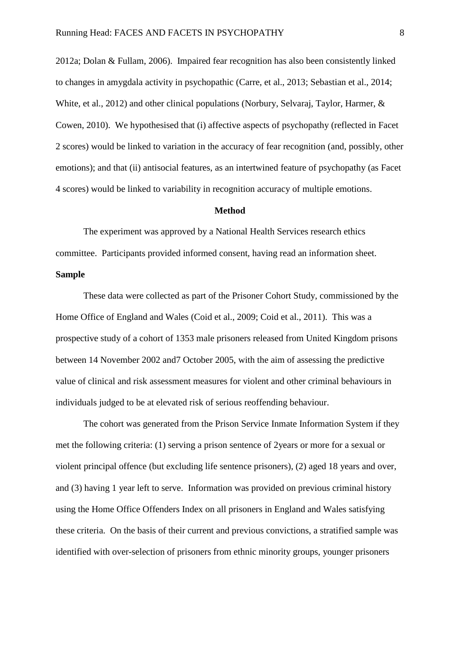[2012a;](#page-30-2) [Dolan & Fullam, 2006\)](#page-31-4). Impaired fear recognition has also been consistently linked to changes in amygdala activity in psychopathic [\(Carre, et al., 2013;](#page-29-2) [Sebastian et al., 2014;](#page-38-2) [White, et al., 2012\)](#page-39-4) and other clinical populations [\(Norbury, Selvaraj, Taylor, Harmer, &](#page-36-4)  [Cowen, 2010\)](#page-36-4). We hypothesised that (i) affective aspects of psychopathy (reflected in Facet 2 scores) would be linked to variation in the accuracy of fear recognition (and, possibly, other emotions); and that (ii) antisocial features, as an intertwined feature of psychopathy (as Facet 4 scores) would be linked to variability in recognition accuracy of multiple emotions.

#### **Method**

The experiment was approved by a National Health Services research ethics committee. Participants provided informed consent, having read an information sheet. **Sample** 

These data were collected as part of the Prisoner Cohort Study, commissioned by the Home Office of England and Wales [\(Coid et al., 2009;](#page-29-3) [Coid et al., 2011\)](#page-30-3). This was a prospective study of a cohort of 1353 male prisoners released from United Kingdom prisons between 14 November 2002 and7 October 2005, with the aim of assessing the predictive value of clinical and risk assessment measures for violent and other criminal behaviours in individuals judged to be at elevated risk of serious reoffending behaviour.

The cohort was generated from the Prison Service Inmate Information System if they met the following criteria: (1) serving a prison sentence of 2years or more for a sexual or violent principal offence (but excluding life sentence prisoners), (2) aged 18 years and over, and (3) having 1 year left to serve. Information was provided on previous criminal history using the Home Office Offenders Index on all prisoners in England and Wales satisfying these criteria. On the basis of their current and previous convictions, a stratified sample was identified with over-selection of prisoners from ethnic minority groups, younger prisoners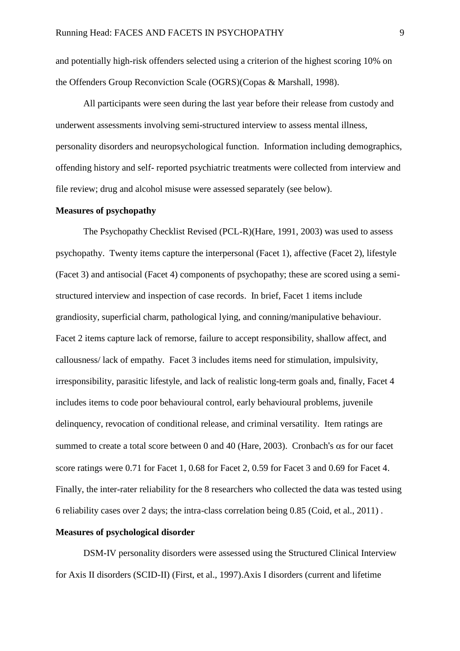and potentially high-risk offenders selected using a criterion of the highest scoring 10% on the Offenders Group Reconviction Scale (OGRS)[\(Copas & Marshall, 1998\)](#page-30-4).

All participants were seen during the last year before their release from custody and underwent assessments involving semi-structured interview to assess mental illness, personality disorders and neuropsychological function. Information including demographics, offending history and self- reported psychiatric treatments were collected from interview and file review; drug and alcohol misuse were assessed separately (see below).

#### **Measures of psychopathy**

The Psychopathy Checklist Revised (PCL-R)[\(Hare, 1991,](#page-31-2) [2003\)](#page-32-3) was used to assess psychopathy. Twenty items capture the interpersonal (Facet 1), affective (Facet 2), lifestyle (Facet 3) and antisocial (Facet 4) components of psychopathy; these are scored using a semistructured interview and inspection of case records. In brief, Facet 1 items include grandiosity, superficial charm, pathological lying, and conning/manipulative behaviour. Facet 2 items capture lack of remorse, failure to accept responsibility, shallow affect, and callousness/ lack of empathy. Facet 3 includes items need for stimulation, impulsivity, irresponsibility, parasitic lifestyle, and lack of realistic long-term goals and, finally, Facet 4 includes items to code poor behavioural control, early behavioural problems, juvenile delinquency, revocation of conditional release, and criminal versatility. Item ratings are summed to create a total score between 0 and 40 [\(Hare, 2003\)](#page-32-3). Cronbach's  $\alpha$ s for our facet score ratings were 0.71 for Facet 1, 0.68 for Facet 2, 0.59 for Facet 3 and 0.69 for Facet 4. Finally, the inter-rater reliability for the 8 researchers who collected the data was tested using 6 reliability cases over 2 days; the intra-class correlation being 0.85 [\(Coid, et al., 2011\)](#page-30-3) .

## **Measures of psychological disorder**

DSM-IV personality disorders were assessed using the Structured Clinical Interview for Axis II disorders (SCID-II) [\(First, et al., 1997\)](#page-31-3).Axis I disorders (current and lifetime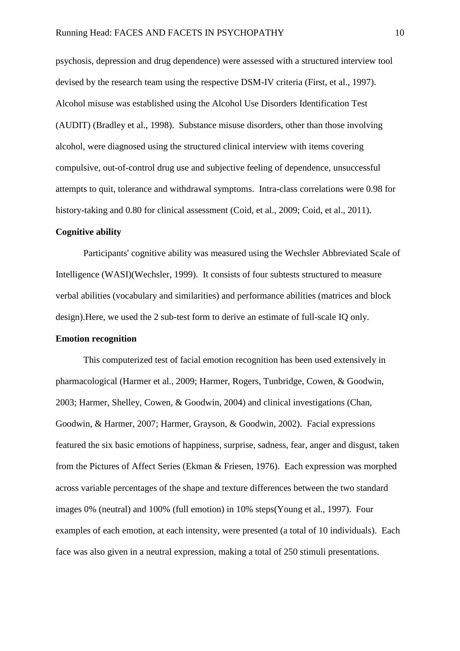psychosis, depression and drug dependence) were assessed with a structured interview tool devised by the research team using the respective DSM-IV criteria [\(First, et al., 1997\)](#page-31-3). Alcohol misuse was established using the Alcohol Use Disorders Identification Test (AUDIT) [\(Bradley et al., 1998\)](#page-28-3). Substance misuse disorders, other than those involving alcohol, were diagnosed using the structured clinical interview with items covering compulsive, out-of-control drug use and subjective feeling of dependence, unsuccessful attempts to quit, tolerance and withdrawal symptoms. Intra-class correlations were 0.98 for history-taking and 0.80 for clinical assessment [\(Coid, et al., 2009;](#page-29-3) [Coid, et al., 2011\)](#page-30-3).

## **Cognitive ability**

Participants' cognitive ability was measured using the Wechsler Abbreviated Scale of Intelligence (WASI)[\(Wechsler, 1999\)](#page-39-5). It consists of four subtests structured to measure verbal abilities (vocabulary and similarities) and performance abilities (matrices and block design).Here, we used the 2 sub-test form to derive an estimate of full-scale IQ only.

### **Emotion recognition**

This computerized test of facial emotion recognition has been used extensively in pharmacological [\(Harmer et al., 2009;](#page-32-4) [Harmer, Rogers, Tunbridge, Cowen, & Goodwin,](#page-32-5)  [2003;](#page-32-5) [Harmer, Shelley, Cowen, & Goodwin, 2004\)](#page-32-6) and clinical investigations [\(Chan,](#page-29-4)  [Goodwin, & Harmer, 2007;](#page-29-4) [Harmer, Grayson, & Goodwin, 2002\)](#page-32-7). Facial expressions featured the six basic emotions of happiness, surprise, sadness, fear, anger and disgust, taken from the Pictures of Affect Series [\(Ekman & Friesen, 1976\)](#page-31-6). Each expression was morphed across variable percentages of the shape and texture differences between the two standard images 0% (neutral) and 100% (full emotion) in 10% steps[\(Young et al., 1997\)](#page-40-1). Four examples of each emotion, at each intensity, were presented (a total of 10 individuals). Each face was also given in a neutral expression, making a total of 250 stimuli presentations.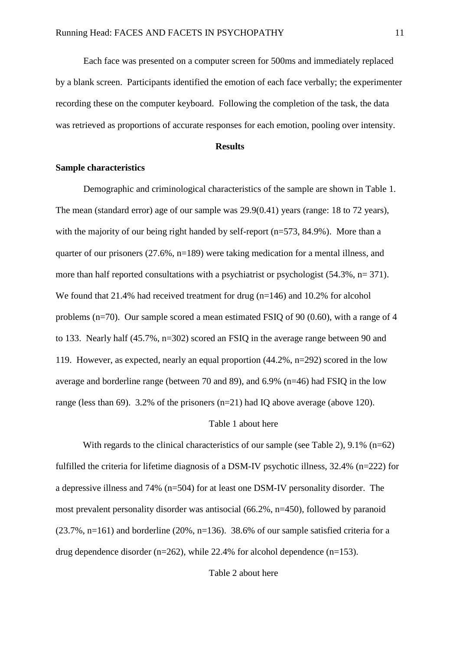Each face was presented on a computer screen for 500ms and immediately replaced by a blank screen. Participants identified the emotion of each face verbally; the experimenter recording these on the computer keyboard. Following the completion of the task, the data was retrieved as proportions of accurate responses for each emotion, pooling over intensity.

#### **Results**

# **Sample characteristics**

Demographic and criminological characteristics of the sample are shown in Table 1. The mean (standard error) age of our sample was 29.9(0.41) years (range: 18 to 72 years), with the majority of our being right handed by self-report (n=573, 84.9%). More than a quarter of our prisoners (27.6%, n=189) were taking medication for a mental illness, and more than half reported consultations with a psychiatrist or psychologist (54.3%, n= 371). We found that 21.4% had received treatment for drug (n=146) and 10.2% for alcohol problems (n=70). Our sample scored a mean estimated FSIQ of 90 (0.60), with a range of 4 to 133. Nearly half (45.7%, n=302) scored an FSIQ in the average range between 90 and 119. However, as expected, nearly an equal proportion (44.2%, n=292) scored in the low average and borderline range (between 70 and 89), and 6.9% (n=46) had FSIQ in the low range (less than 69). 3.2% of the prisoners (n=21) had IQ above average (above 120).

### Table 1 about here

With regards to the clinical characteristics of our sample (see Table 2),  $9.1\%$  (n=62) fulfilled the criteria for lifetime diagnosis of a DSM-IV psychotic illness, 32.4% (n=222) for a depressive illness and 74% (n=504) for at least one DSM-IV personality disorder. The most prevalent personality disorder was antisocial (66.2%, n=450), followed by paranoid  $(23.7\%, n=161)$  and borderline  $(20\%, n=136)$ . 38.6% of our sample satisfied criteria for a drug dependence disorder (n=262), while 22.4% for alcohol dependence (n=153).

# Table 2 about here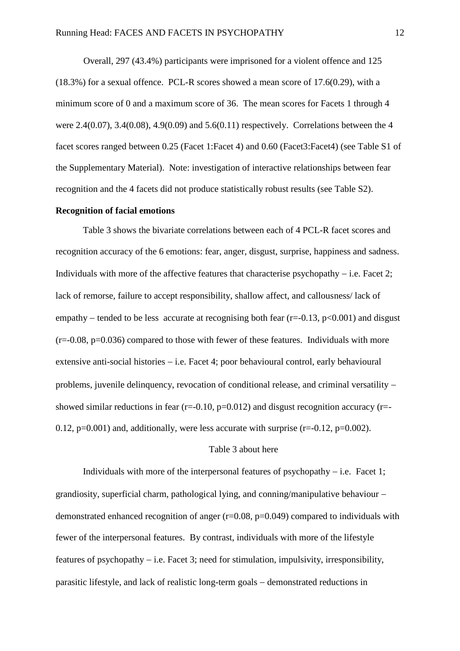Overall, 297 (43.4%) participants were imprisoned for a violent offence and 125 (18.3%) for a sexual offence. PCL-R scores showed a mean score of 17.6(0.29), with a minimum score of 0 and a maximum score of 36. The mean scores for Facets 1 through 4 were 2.4(0.07), 3.4(0.08), 4.9(0.09) and 5.6(0.11) respectively. Correlations between the 4 facet scores ranged between 0.25 (Facet 1:Facet 4) and 0.60 (Facet3:Facet4) (see Table S1 of the Supplementary Material). Note: investigation of interactive relationships between fear recognition and the 4 facets did not produce statistically robust results (see Table S2).

#### **Recognition of facial emotions**

Table 3 shows the bivariate correlations between each of 4 PCL-R facet scores and recognition accuracy of the 6 emotions: fear, anger, disgust, surprise, happiness and sadness. Individuals with more of the affective features that characterise psychopathy  $-$  i.e. Facet 2; lack of remorse, failure to accept responsibility, shallow affect, and callousness/ lack of empathy – tended to be less accurate at recognising both fear ( $r=0.13$ ,  $p<0.001$ ) and disgust  $(r=0.08, p=0.036)$  compared to those with fewer of these features. Individuals with more extensive anti-social histories  $-$  i.e. Facet 4; poor behavioural control, early behavioural problems, juvenile delinquency, revocation of conditional release, and criminal versatility showed similar reductions in fear ( $r=-0.10$ ,  $p=0.012$ ) and disgust recognition accuracy ( $r=-$ 0.12,  $p=0.001$ ) and, additionally, were less accurate with surprise ( $r=-0.12$ ,  $p=0.002$ ).

## Table 3 about here

Individuals with more of the interpersonal features of psychopathy  $-$  i.e. Facet 1; grandiosity, superficial charm, pathological lying, and conning/manipulative behaviour demonstrated enhanced recognition of anger  $(r=0.08, p=0.049)$  compared to individuals with fewer of the interpersonal features. By contrast, individuals with more of the lifestyle features of psychopathy  $-$  i.e. Facet 3; need for stimulation, impulsivity, irresponsibility, parasitic lifestyle, and lack of realistic long-term goals  $-$  demonstrated reductions in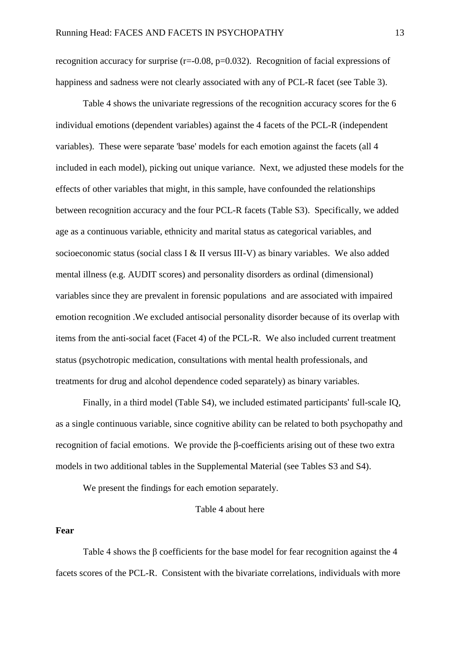recognition accuracy for surprise  $(r=0.08, p=0.032)$ . Recognition of facial expressions of happiness and sadness were not clearly associated with any of PCL-R facet (see Table 3).

Table 4 shows the univariate regressions of the recognition accuracy scores for the 6 individual emotions (dependent variables) against the 4 facets of the PCL-R (independent variables). These were separate 'base' models for each emotion against the facets (all 4 included in each model), picking out unique variance. Next, we adjusted these models for the effects of other variables that might, in this sample, have confounded the relationships between recognition accuracy and the four PCL-R facets (Table S3). Specifically, we added age as a continuous variable, ethnicity and marital status as categorical variables, and socioeconomic status (social class I & II versus III-V) as binary variables. We also added mental illness (e.g. AUDIT scores) and personality disorders as ordinal (dimensional) variables since they are prevalent in forensic populations and are associated with impaired emotion recognition .We excluded antisocial personality disorder because of its overlap with items from the anti-social facet (Facet 4) of the PCL-R. We also included current treatment status (psychotropic medication, consultations with mental health professionals, and treatments for drug and alcohol dependence coded separately) as binary variables.

Finally, in a third model (Table S4), we included estimated participants' full-scale IQ, as a single continuous variable, since cognitive ability can be related to both psychopathy and recognition of facial emotions. We provide the β-coefficients arising out of these two extra models in two additional tables in the Supplemental Material (see Tables S3 and S4).

We present the findings for each emotion separately.

Table 4 about here

## **Fear**

Table 4 shows the β coefficients for the base model for fear recognition against the 4 facets scores of the PCL-R. Consistent with the bivariate correlations, individuals with more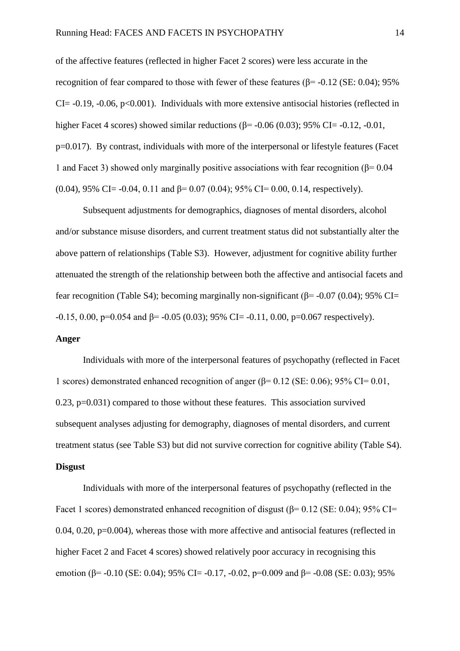of the affective features (reflected in higher Facet 2 scores) were less accurate in the recognition of fear compared to those with fewer of these features (β= -0.12 (SE: 0.04); 95%  $CI = -0.19$ ,  $-0.06$ ,  $p < 0.001$ ). Individuals with more extensive antisocial histories (reflected in higher Facet 4 scores) showed similar reductions ( $β = -0.06$  (0.03); 95% CI=  $-0.12$ ,  $-0.01$ , p=0.017). By contrast, individuals with more of the interpersonal or lifestyle features (Facet 1 and Facet 3) showed only marginally positive associations with fear recognition ( $\beta$ = 0.04 (0.04), 95% CI= -0.04, 0.11 and  $\beta$ = 0.07 (0.04); 95% CI= 0.00, 0.14, respectively).

Subsequent adjustments for demographics, diagnoses of mental disorders, alcohol and/or substance misuse disorders, and current treatment status did not substantially alter the above pattern of relationships (Table S3). However, adjustment for cognitive ability further attenuated the strength of the relationship between both the affective and antisocial facets and fear recognition (Table S4); becoming marginally non-significant ( $\beta$ = -0.07 (0.04); 95% CI=  $-0.15$ , 0.00, p=0.054 and  $\beta$ =  $-0.05$  (0.03); 95% CI=  $-0.11$ , 0.00, p=0.067 respectively).

## **Anger**

Individuals with more of the interpersonal features of psychopathy (reflected in Facet 1 scores) demonstrated enhanced recognition of anger ( $\beta$ = 0.12 (SE: 0.06); 95% CI= 0.01, 0.23, p=0.031) compared to those without these features. This association survived subsequent analyses adjusting for demography, diagnoses of mental disorders, and current treatment status (see Table S3) but did not survive correction for cognitive ability (Table S4). **Disgust** 

Individuals with more of the interpersonal features of psychopathy (reflected in the Facet 1 scores) demonstrated enhanced recognition of disgust ( $\beta$ = 0.12 (SE: 0.04); 95% CI= 0.04, 0.20, p=0.004), whereas those with more affective and antisocial features (reflected in higher Facet 2 and Facet 4 scores) showed relatively poor accuracy in recognising this emotion ( $\beta$ = -0.10 (SE: 0.04); 95% CI= -0.17, -0.02, p=0.009 and  $\beta$ = -0.08 (SE: 0.03); 95%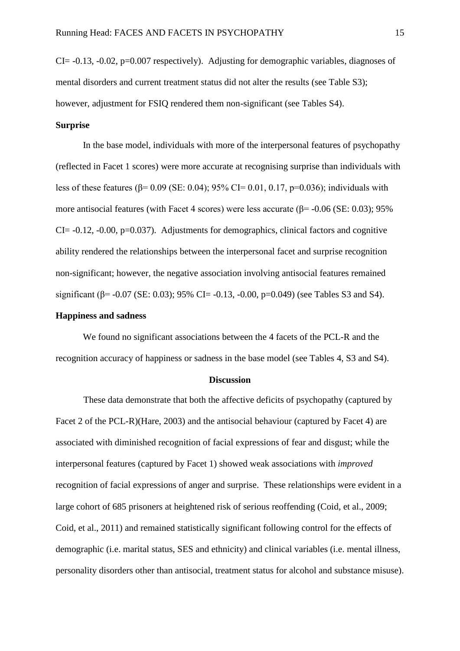CI= -0.13, -0.02, p=0.007 respectively). Adjusting for demographic variables, diagnoses of mental disorders and current treatment status did not alter the results (see Table S3); however, adjustment for FSIQ rendered them non-significant (see Tables S4).

# **Surprise**

In the base model, individuals with more of the interpersonal features of psychopathy (reflected in Facet 1 scores) were more accurate at recognising surprise than individuals with less of these features (β= 0.09 (SE: 0.04); 95% CI= 0.01, 0.17, p=0.036); individuals with more antisocial features (with Facet 4 scores) were less accurate ( $\beta$ = -0.06 (SE: 0.03); 95%  $CI = -0.12$ ,  $-0.00$ ,  $p=0.037$ ). Adjustments for demographics, clinical factors and cognitive ability rendered the relationships between the interpersonal facet and surprise recognition non-significant; however, the negative association involving antisocial features remained significant ( $\beta$ = -0.07 (SE: 0.03); 95% CI= -0.13, -0.00, p=0.049) (see Tables S3 and S4).

# **Happiness and sadness**

We found no significant associations between the 4 facets of the PCL-R and the recognition accuracy of happiness or sadness in the base model (see Tables 4, S3 and S4).

#### **Discussion**

These data demonstrate that both the affective deficits of psychopathy (captured by Facet 2 of the PCL-R)[\(Hare, 2003\)](#page-32-3) and the antisocial behaviour (captured by Facet 4) are associated with diminished recognition of facial expressions of fear and disgust; while the interpersonal features (captured by Facet 1) showed weak associations with *improved* recognition of facial expressions of anger and surprise. These relationships were evident in a large cohort of 685 prisoners at heightened risk of serious reoffending [\(Coid, et al., 2009;](#page-29-3) [Coid, et al., 2011\)](#page-30-3) and remained statistically significant following control for the effects of demographic (i.e. marital status, SES and ethnicity) and clinical variables (i.e. mental illness, personality disorders other than antisocial, treatment status for alcohol and substance misuse).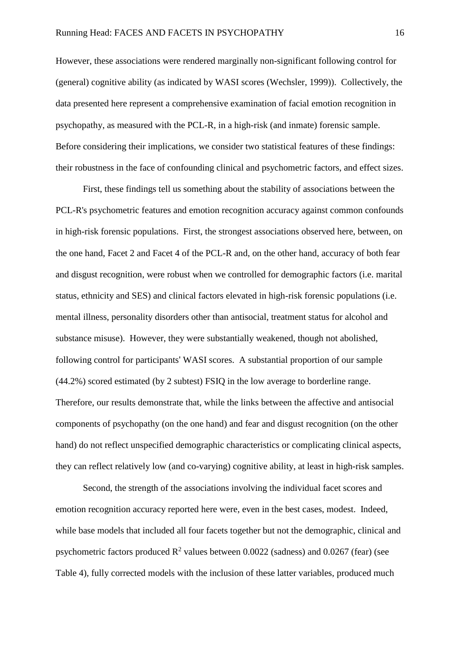However, these associations were rendered marginally non-significant following control for (general) cognitive ability (as indicated by WASI scores [\(Wechsler, 1999\)](#page-39-5)). Collectively, the data presented here represent a comprehensive examination of facial emotion recognition in psychopathy, as measured with the PCL-R, in a high-risk (and inmate) forensic sample. Before considering their implications, we consider two statistical features of these findings: their robustness in the face of confounding clinical and psychometric factors, and effect sizes.

First, these findings tell us something about the stability of associations between the PCL-R's psychometric features and emotion recognition accuracy against common confounds in high-risk forensic populations. First, the strongest associations observed here, between, on the one hand, Facet 2 and Facet 4 of the PCL-R and, on the other hand, accuracy of both fear and disgust recognition, were robust when we controlled for demographic factors (i.e. marital status, ethnicity and SES) and clinical factors elevated in high-risk forensic populations (i.e. mental illness, personality disorders other than antisocial, treatment status for alcohol and substance misuse). However, they were substantially weakened, though not abolished, following control for participants' WASI scores. A substantial proportion of our sample (44.2%) scored estimated (by 2 subtest) FSIQ in the low average to borderline range. Therefore, our results demonstrate that, while the links between the affective and antisocial components of psychopathy (on the one hand) and fear and disgust recognition (on the other hand) do not reflect unspecified demographic characteristics or complicating clinical aspects, they can reflect relatively low (and co-varying) cognitive ability, at least in high-risk samples.

Second, the strength of the associations involving the individual facet scores and emotion recognition accuracy reported here were, even in the best cases, modest. Indeed, while base models that included all four facets together but not the demographic, clinical and psychometric factors produced  $\mathbb{R}^2$  values between 0.0022 (sadness) and 0.0267 (fear) (see Table 4), fully corrected models with the inclusion of these latter variables, produced much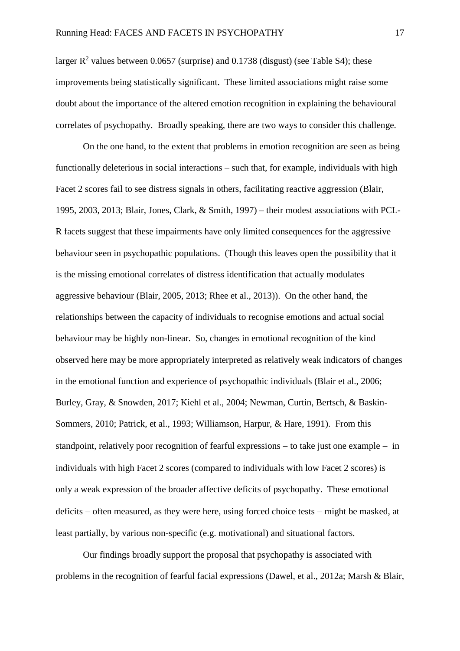larger  $R^2$  values between 0.0657 (surprise) and 0.1738 (disgust) (see Table S4); these improvements being statistically significant. These limited associations might raise some doubt about the importance of the altered emotion recognition in explaining the behavioural correlates of psychopathy. Broadly speaking, there are two ways to consider this challenge.

On the one hand, to the extent that problems in emotion recognition are seen as being functionally deleterious in social interactions – such that, for example, individuals with high Facet 2 scores fail to see distress signals in others, facilitating reactive aggression [\(Blair,](#page-27-2)  [1995,](#page-27-2) [2003,](#page-27-3) [2013;](#page-27-4) [Blair, Jones, Clark, & Smith, 1997\)](#page-28-4) – their modest associations with PCL-R facets suggest that these impairments have only limited consequences for the aggressive behaviour seen in psychopathic populations. (Though this leaves open the possibility that it is the missing emotional correlates of distress identification that actually modulates aggressive behaviour [\(Blair, 2005,](#page-27-5) [2013;](#page-27-4) [Rhee et al., 2013\)](#page-37-2)). On the other hand, the relationships between the capacity of individuals to recognise emotions and actual social behaviour may be highly non-linear. So, changes in emotional recognition of the kind observed here may be more appropriately interpreted as relatively weak indicators of changes in the emotional function and experience of psychopathic individuals [\(Blair et al., 2006;](#page-28-5) [Burley, Gray, & Snowden, 2017;](#page-28-6) [Kiehl et al., 2004;](#page-33-4) [Newman, Curtin, Bertsch, & Baskin-](#page-36-5)[Sommers, 2010;](#page-36-5) [Patrick, et al., 1993;](#page-36-3) [Williamson, Harpur, & Hare, 1991\)](#page-40-2). From this standpoint, relatively poor recognition of fearful expressions  $-$  to take just one example  $-$  in individuals with high Facet 2 scores (compared to individuals with low Facet 2 scores) is only a weak expression of the broader affective deficits of psychopathy. These emotional deficits  $-$  often measured, as they were here, using forced choice tests  $-$  might be masked, at least partially, by various non-specific (e.g. motivational) and situational factors.

Our findings broadly support the proposal that psychopathy is associated with problems in the recognition of fearful facial expressions [\(Dawel, et al., 2012a;](#page-30-2) [Marsh & Blair,](#page-35-6)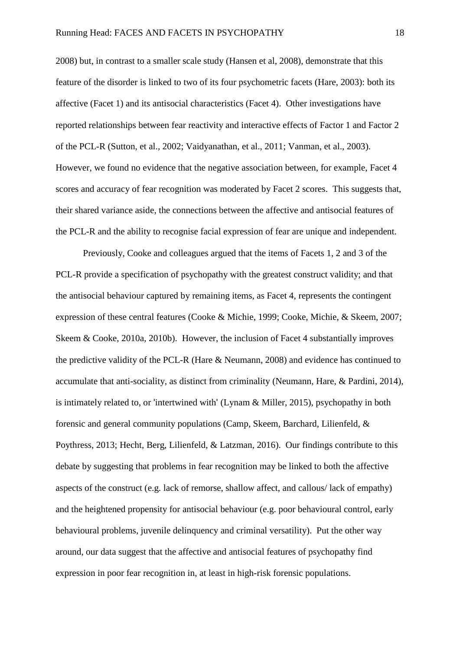[2008\)](#page-35-6) but, in contrast to a smaller scale study (Hansen et al, 2008), demonstrate that this feature of the disorder is linked to two of its four psychometric facets [\(Hare, 2003\)](#page-32-3): both its affective (Facet 1) and its antisocial characteristics (Facet 4). Other investigations have reported relationships between fear reactivity and interactive effects of Factor 1 and Factor 2 of the PCL-R [\(Sutton, et al., 2002;](#page-38-0) [Vaidyanathan, et al., 2011;](#page-39-2) [Vanman, et al., 2003\)](#page-39-1). However, we found no evidence that the negative association between, for example, Facet 4 scores and accuracy of fear recognition was moderated by Facet 2 scores. This suggests that, their shared variance aside, the connections between the affective and antisocial features of the PCL-R and the ability to recognise facial expression of fear are unique and independent.

Previously, Cooke and colleagues argued that the items of Facets 1, 2 and 3 of the PCL-R provide a specification of psychopathy with the greatest construct validity; and that the antisocial behaviour captured by remaining items, as Facet 4, represents the contingent expression of these central features [\(Cooke & Michie, 1999;](#page-30-0) [Cooke, Michie, & Skeem, 2007;](#page-30-5) [Skeem & Cooke, 2010a,](#page-38-3) [2010b\)](#page-38-4). However, the inclusion of Facet 4 substantially improves the predictive validity of the PCL-R [\(Hare & Neumann, 2008\)](#page-32-0) and evidence has continued to accumulate that anti-sociality, as distinct from criminality [\(Neumann, Hare, & Pardini, 2014\)](#page-36-6), is intimately related to, or 'intertwined with' [\(Lynam & Miller, 2015\)](#page-34-1), psychopathy in both forensic and general community populations [\(Camp, Skeem, Barchard, Lilienfeld, &](#page-29-5)  [Poythress, 2013;](#page-29-5) [Hecht, Berg, Lilienfeld, & Latzman, 2016\)](#page-33-5). Our findings contribute to this debate by suggesting that problems in fear recognition may be linked to both the affective aspects of the construct (e.g. lack of remorse, shallow affect, and callous/ lack of empathy) and the heightened propensity for antisocial behaviour (e.g. poor behavioural control, early behavioural problems, juvenile delinquency and criminal versatility). Put the other way around, our data suggest that the affective and antisocial features of psychopathy find expression in poor fear recognition in, at least in high-risk forensic populations.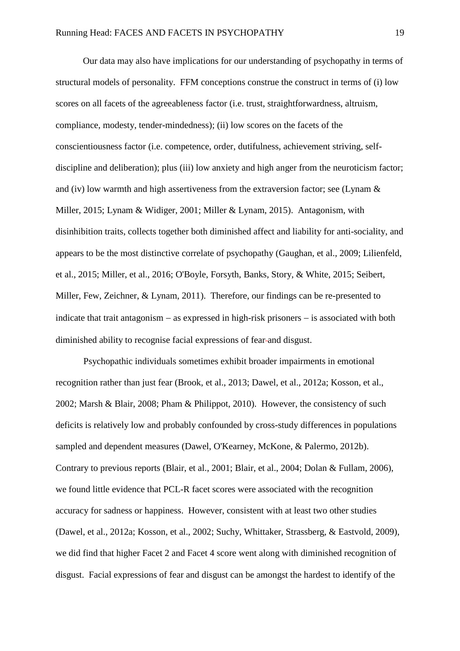Our data may also have implications for our understanding of psychopathy in terms of structural models of personality. FFM conceptions construe the construct in terms of (i) low scores on all facets of the agreeableness factor (i.e. trust, straightforwardness, altruism, compliance, modesty, tender-mindedness); (ii) low scores on the facets of the conscientiousness factor (i.e. competence, order, dutifulness, achievement striving, selfdiscipline and deliberation); plus (iii) low anxiety and high anger from the neuroticism factor; and (iv) low warmth and high assertiveness from the extraversion factor; see (Lynam  $\&$ [Miller, 2015;](#page-34-1) [Lynam & Widiger, 2001;](#page-34-2) [Miller & Lynam, 2015\)](#page-35-7). Antagonism, with disinhibition traits, collects together both diminished affect and liability for anti-sociality, and appears to be the most distinctive correlate of psychopathy [\(Gaughan, et al., 2009;](#page-31-0) [Lilienfeld,](#page-34-0)  [et al., 2015;](#page-34-0) [Miller, et al., 2016;](#page-35-2) [O'Boyle, Forsyth, Banks, Story, & White, 2015;](#page-36-7) [Seibert,](#page-38-5)  [Miller, Few, Zeichner, & Lynam, 2011\)](#page-38-5). Therefore, our findings can be re-presented to indicate that trait antagonism  $-$  as expressed in high-risk prisoners  $-$  is associated with both diminished ability to recognise facial expressions of fear and disgust.

Psychopathic individuals sometimes exhibit broader impairments in emotional recognition rather than just fear [\(Brook, et al., 2013;](#page-28-2) [Dawel, et al., 2012a;](#page-30-2) [Kosson, et al.,](#page-33-3)  [2002;](#page-33-3) [Marsh & Blair, 2008;](#page-35-6) [Pham & Philippot, 2010\)](#page-37-1). However, the consistency of such deficits is relatively low and probably confounded by cross-study differences in populations sampled and dependent measures [\(Dawel, O'Kearney, McKone, & Palermo, 2012b\)](#page-30-6). Contrary to previous reports [\(Blair, et al., 2001;](#page-27-1) [Blair, et al., 2004;](#page-28-1) [Dolan & Fullam, 2006\)](#page-31-4), we found little evidence that PCL-R facet scores were associated with the recognition accuracy for sadness or happiness. However, consistent with at least two other studies [\(Dawel, et al., 2012a;](#page-30-2) [Kosson, et al., 2002;](#page-33-3) [Suchy, Whittaker, Strassberg, & Eastvold, 2009\)](#page-38-6), we did find that higher Facet 2 and Facet 4 score went along with diminished recognition of disgust. Facial expressions of fear and disgust can be amongst the hardest to identify of the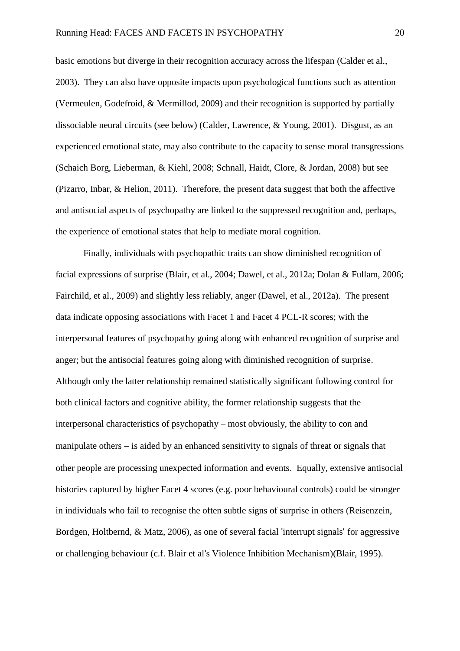basic emotions but diverge in their recognition accuracy across the lifespan [\(Calder et al.,](#page-29-6)  [2003\)](#page-29-6). They can also have opposite impacts upon psychological functions such as attention [\(Vermeulen, Godefroid, & Mermillod, 2009\)](#page-39-6) and their recognition is supported by partially dissociable neural circuits (see below) [\(Calder, Lawrence, & Young, 2001\)](#page-29-7). Disgust, as an experienced emotional state, may also contribute to the capacity to sense moral transgressions [\(Schaich Borg, Lieberman, & Kiehl, 2008;](#page-37-3) [Schnall, Haidt, Clore, & Jordan, 2008\)](#page-37-4) but see [\(Pizarro, Inbar, & Helion, 2011\)](#page-37-5). Therefore, the present data suggest that both the affective and antisocial aspects of psychopathy are linked to the suppressed recognition and, perhaps, the experience of emotional states that help to mediate moral cognition.

Finally, individuals with psychopathic traits can show diminished recognition of facial expressions of surprise [\(Blair, et al., 2004;](#page-28-1) [Dawel, et al., 2012a;](#page-30-2) [Dolan & Fullam, 2006;](#page-31-4) [Fairchild, et al., 2009\)](#page-31-5) and slightly less reliably, anger [\(Dawel, et al., 2012a\)](#page-30-2). The present data indicate opposing associations with Facet 1 and Facet 4 PCL-R scores; with the interpersonal features of psychopathy going along with enhanced recognition of surprise and anger; but the antisocial features going along with diminished recognition of surprise. Although only the latter relationship remained statistically significant following control for both clinical factors and cognitive ability, the former relationship suggests that the interpersonal characteristics of psychopathy – most obviously, the ability to con and manipulate others  $-$  is aided by an enhanced sensitivity to signals of threat or signals that other people are processing unexpected information and events. Equally, extensive antisocial histories captured by higher Facet 4 scores (e.g. poor behavioural controls) could be stronger in individuals who fail to recognise the often subtle signs of surprise in others [\(Reisenzein,](#page-37-6)  [Bordgen, Holtbernd, & Matz, 2006\)](#page-37-6), as one of several facial 'interrupt signals' for aggressive or challenging behaviour (c.f. Blair et al's Violence Inhibition Mechanism)[\(Blair, 1995\)](#page-27-2).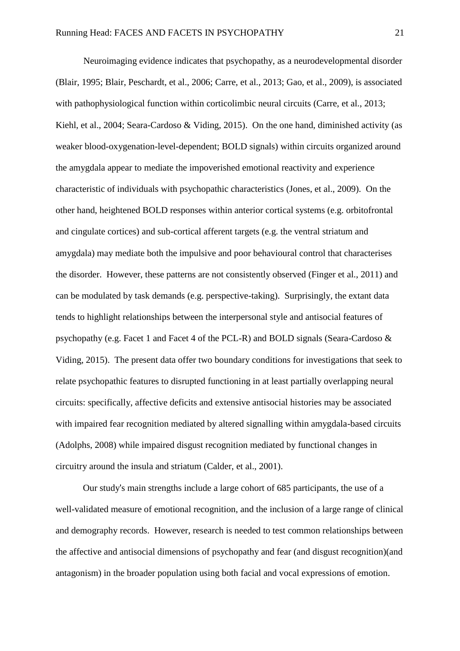Neuroimaging evidence indicates that psychopathy, as a neurodevelopmental disorder [\(Blair, 1995;](#page-27-2) [Blair, Peschardt, et al., 2006;](#page-28-0) [Carre, et al., 2013;](#page-29-2) [Gao, et al., 2009\)](#page-31-1), is associated with pathophysiological function within corticolimbic neural circuits [\(Carre, et al., 2013;](#page-29-2) [Kiehl, et al., 2004;](#page-33-4) [Seara-Cardoso & Viding, 2015\)](#page-37-0). On the one hand, diminished activity (as weaker blood-oxygenation-level-dependent; BOLD signals) within circuits organized around the amygdala appear to mediate the impoverished emotional reactivity and experience characteristic of individuals with psychopathic characteristics [\(Jones, et al., 2009\)](#page-33-0). On the other hand, heightened BOLD responses within anterior cortical systems (e.g. orbitofrontal and cingulate cortices) and sub-cortical afferent targets (e.g. the ventral striatum and amygdala) may mediate both the impulsive and poor behavioural control that characterises the disorder. However, these patterns are not consistently observed [\(Finger et al., 2011\)](#page-31-7) and can be modulated by task demands (e.g. perspective-taking). Surprisingly, the extant data tends to highlight relationships between the interpersonal style and antisocial features of psychopathy (e.g. Facet 1 and Facet 4 of the PCL-R) and BOLD signals [\(Seara-Cardoso &](#page-37-0)  [Viding, 2015\)](#page-37-0). The present data offer two boundary conditions for investigations that seek to relate psychopathic features to disrupted functioning in at least partially overlapping neural circuits: specifically, affective deficits and extensive antisocial histories may be associated with impaired fear recognition mediated by altered signalling within amygdala-based circuits [\(Adolphs, 2008\)](#page-27-6) while impaired disgust recognition mediated by functional changes in circuitry around the insula and striatum [\(Calder, et al., 2001\)](#page-29-7).

Our study's main strengths include a large cohort of 685 participants, the use of a well-validated measure of emotional recognition, and the inclusion of a large range of clinical and demography records. However, research is needed to test common relationships between the affective and antisocial dimensions of psychopathy and fear (and disgust recognition)(and antagonism) in the broader population using both facial and vocal expressions of emotion.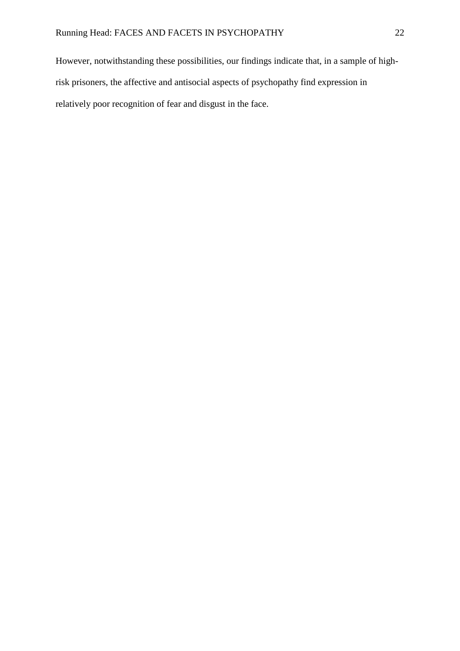However, notwithstanding these possibilities, our findings indicate that, in a sample of highrisk prisoners, the affective and antisocial aspects of psychopathy find expression in relatively poor recognition of fear and disgust in the face.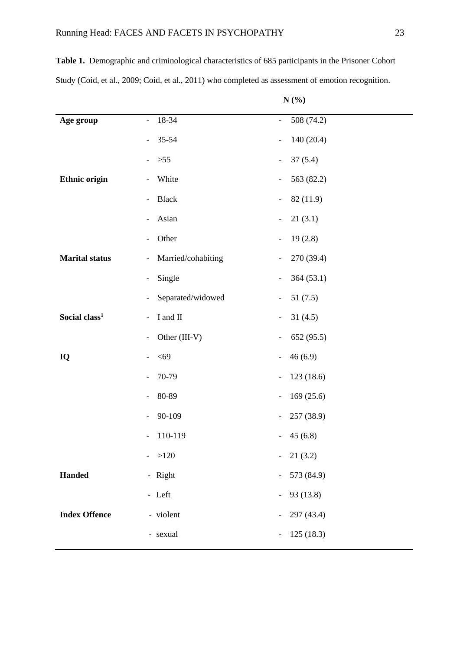**Table 1.** Demographic and criminological characteristics of 685 participants in the Prisoner Cohort Study [\(Coid, et al., 2009;](#page-29-3) [Coid, et al., 2011\)](#page-30-3) who completed as assessment of emotion recognition.

|  | п<br>п |
|--|--------|
|--|--------|

| Age group                 | 18-34<br>$\overline{\phantom{a}}$              | 508 (74.2)<br>$\overline{\phantom{a}}$ |
|---------------------------|------------------------------------------------|----------------------------------------|
|                           | 35-54<br>$\overline{\phantom{a}}$              | 140(20.4)<br>$\overline{\phantom{a}}$  |
|                           | $>55$<br>$\overline{\phantom{a}}$              | 37(5.4)<br>$\overline{\phantom{a}}$    |
| <b>Ethnic origin</b>      | White<br>$\overline{\phantom{a}}$              | 563 (82.2)<br>$\overline{\phantom{a}}$ |
|                           | <b>Black</b><br>$\overline{\phantom{a}}$       | 82 (11.9)<br>$\overline{\phantom{a}}$  |
|                           | Asian<br>$\overline{\phantom{a}}$              | 21(3.1)<br>$\overline{\phantom{a}}$    |
|                           | Other<br>$\overline{\phantom{a}}$              | 19(2.8)<br>$\overline{\phantom{a}}$    |
| <b>Marital status</b>     | Married/cohabiting<br>$\overline{\phantom{a}}$ | 270 (39.4)<br>$\overline{\phantom{a}}$ |
|                           | Single<br>$\qquad \qquad -$                    | 364(53.1)<br>$\overline{\phantom{a}}$  |
|                           | Separated/widowed<br>$\overline{\phantom{a}}$  | 51(7.5)<br>$\overline{\phantom{a}}$    |
| Social class <sup>1</sup> | I and II<br>$\overline{\phantom{a}}$           | 31(4.5)<br>$\overline{\phantom{a}}$    |
|                           | Other (III-V)<br>$\overline{\phantom{a}}$      | 652 (95.5)<br>$\overline{\phantom{a}}$ |
| IQ                        | $<$ 69<br>$\overline{\phantom{a}}$             | 46(6.9)<br>$\qquad \qquad -$           |
|                           | 70-79<br>$\overline{\phantom{a}}$              | 123 (18.6)<br>$\overline{\phantom{a}}$ |
|                           | 80-89<br>$\overline{\phantom{a}}$              | 169(25.6)<br>$\overline{\phantom{a}}$  |
|                           | 90-109                                         | 257 (38.9)<br>$\overline{\phantom{a}}$ |
|                           | 110-119<br>$\qquad \qquad -$                   | 45(6.8)<br>$\overline{\phantom{a}}$    |
|                           | $-$ >120                                       | 21(3.2)<br>$\sim$                      |
| <b>Handed</b>             | - Right                                        | 573 (84.9)<br>$\blacksquare$           |
|                           | - Left                                         | 93 (13.8)<br>$\blacksquare$            |
| <b>Index Offence</b>      | - violent                                      | 297 (43.4)<br>$\overline{\phantom{a}}$ |
|                           | - sexual                                       | 125(18.3)<br>$\overline{\phantom{a}}$  |
|                           |                                                |                                        |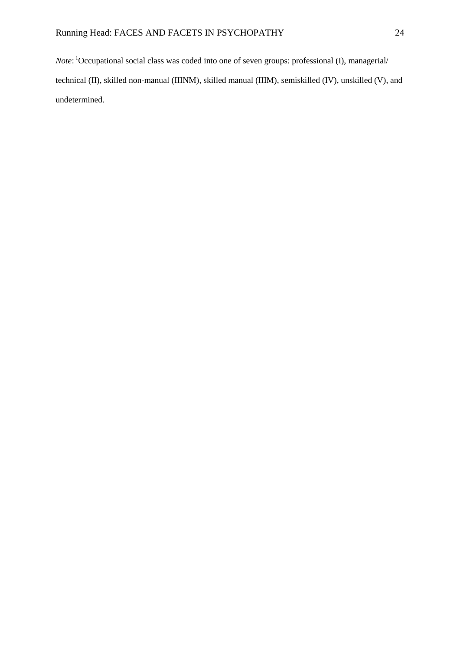*Note*: <sup>1</sup>Occupational social class was coded into one of seven groups: professional (I), managerial/ technical (II), skilled non-manual (IIINM), skilled manual (IIIM), semiskilled (IV), unskilled (V), and undetermined.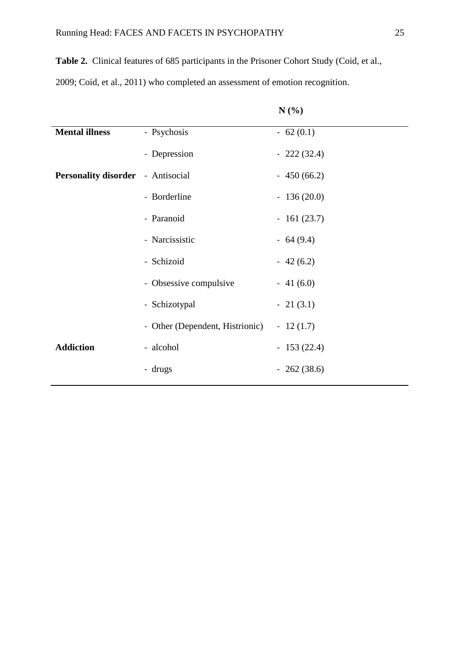**Table 2.** Clinical features of 685 participants in the Prisoner Cohort Study [\(Coid, et al.,](#page-29-3) 

[2009;](#page-29-3) [Coid, et al., 2011\)](#page-30-3) who completed an assessment of emotion recognition.

|                                          |                                 | N(%)         |
|------------------------------------------|---------------------------------|--------------|
| <b>Mental illness</b>                    | - Psychosis                     | $-62(0.1)$   |
|                                          | - Depression                    | $-222(32.4)$ |
| <b>Personality disorder</b> - Antisocial |                                 | $-450(66.2)$ |
|                                          | - Borderline                    | $-136(20.0)$ |
|                                          | - Paranoid                      | $-161(23.7)$ |
|                                          | - Narcissistic                  | $-64(9.4)$   |
|                                          | - Schizoid                      | $-42(6.2)$   |
|                                          | - Obsessive compulsive          | $-41(6.0)$   |
|                                          | - Schizotypal                   | $-21(3.1)$   |
|                                          | - Other (Dependent, Histrionic) | $-12(1.7)$   |
| <b>Addiction</b>                         | - alcohol                       | $-153(22.4)$ |
|                                          | - drugs                         | $-262(38.6)$ |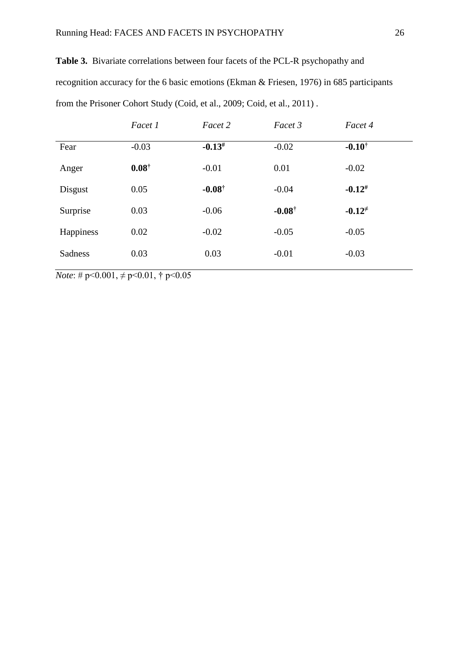| <b>Table 3.</b> Bivariate correlations between four facets of the PCL-R psychopathy and   |
|-------------------------------------------------------------------------------------------|
| recognition accuracy for the 6 basic emotions (Ekman & Friesen, 1976) in 685 participants |
| from the Prisoner Cohort Study (Coid, et al., 2009; Coid, et al., 2011).                  |

|           | Facet 1          | Facet 2           | Facet 3           | Facet 4           |  |
|-----------|------------------|-------------------|-------------------|-------------------|--|
| Fear      | $-0.03$          | $-0.13^{#}$       | $-0.02$           | $-0.10^{\dagger}$ |  |
| Anger     | $0.08^{\dagger}$ | $-0.01$           | 0.01              | $-0.02$           |  |
| Disgust   | 0.05             | $-0.08^{\dagger}$ | $-0.04$           | $-0.12^{#}$       |  |
| Surprise  | 0.03             | $-0.06$           | $-0.08^{\dagger}$ | $-0.12^{+}$       |  |
| Happiness | 0.02             | $-0.02$           | $-0.05$           | $-0.05$           |  |
| Sadness   | 0.03             | 0.03              | $-0.01$           | $-0.03$           |  |
|           |                  |                   |                   |                   |  |

*Note*: #  $p < 0.001$ ,  $\neq p < 0.01$ , †  $p < 0.05$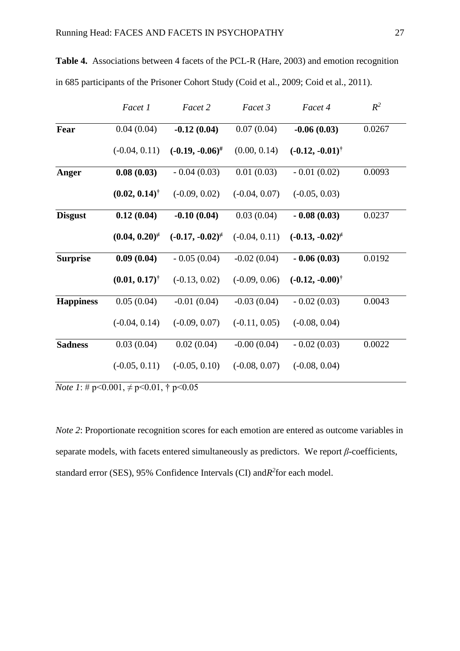|                  | Facet 1                     | Facet 2                 | Facet 3         | Facet 4                    | $R^2$  |
|------------------|-----------------------------|-------------------------|-----------------|----------------------------|--------|
| Fear             | 0.04(0.04)                  | $-0.12(0.04)$           | 0.07(0.04)      | $-0.06(0.03)$              | 0.0267 |
|                  | $(-0.04, 0.11)$             | $(-0.19, -0.06)^{\#}$   | (0.00, 0.14)    | $(-0.12, -0.01)^{\dagger}$ |        |
| Anger            | 0.08(0.03)                  | $-0.04(0.03)$           | 0.01(0.03)      | $-0.01(0.02)$              | 0.0093 |
|                  | $(0.02, 0.14)$ <sup>†</sup> | $(-0.09, 0.02)$         | $(-0.04, 0.07)$ | $(-0.05, 0.03)$            |        |
| <b>Disgust</b>   | 0.12(0.04)                  | $-0.10(0.04)$           | 0.03(0.04)      | $-0.08(0.03)$              | 0.0237 |
|                  | $(0.04, 0.20)^{\neq}$       | $(-0.17, -0.02)^{\neq}$ | $(-0.04, 0.11)$ | $(-0.13, -0.02)^{\neq}$    |        |
| <b>Surprise</b>  | 0.09(0.04)                  | $-0.05(0.04)$           | $-0.02(0.04)$   | $-0.06(0.03)$              | 0.0192 |
|                  | $(0.01, 0.17)^{\dagger}$    | $(-0.13, 0.02)$         | $(-0.09, 0.06)$ | $(-0.12, -0.00)^{\dagger}$ |        |
| <b>Happiness</b> | 0.05(0.04)                  | $-0.01(0.04)$           | $-0.03(0.04)$   | $-0.02(0.03)$              | 0.0043 |
|                  | $(-0.04, 0.14)$             | $(-0.09, 0.07)$         | $(-0.11, 0.05)$ | $(-0.08, 0.04)$            |        |
| <b>Sadness</b>   | 0.03(0.04)                  | 0.02(0.04)              | $-0.00(0.04)$   | $-0.02(0.03)$              | 0.0022 |
|                  | $(-0.05, 0.11)$             | $(-0.05, 0.10)$         | $(-0.08, 0.07)$ | $(-0.08, 0.04)$            |        |

**Table 4.** Associations between 4 facets of the PCL-R (Hare, 2003) and emotion recognition in 685 participants of the Prisoner Cohort Study (Coid et al., 2009; Coid et al., 2011).

*Note 1*:  $\# p \le 0.001$ ,  $\neq p \le 0.01$ ,  $\dagger p \le 0.05$ 

*Note 2*: Proportionate recognition scores for each emotion are entered as outcome variables in separate models, with facets entered simultaneously as predictors. We report *β*-coefficients, standard error (SES), 95% Confidence Intervals (CI) and *R*<sup>2</sup> for each model.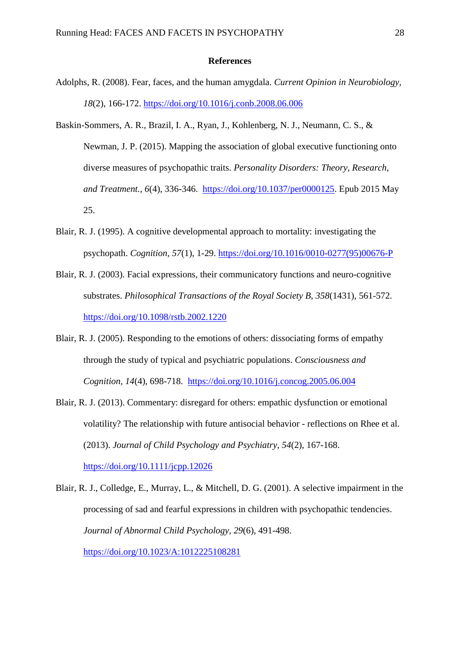#### **References**

- <span id="page-27-6"></span>Adolphs, R. (2008). Fear, faces, and the human amygdala. *Current Opinion in Neurobiology, 18*(2), 166-172.<https://doi.org/10.1016/j.conb.2008.06.006>
- <span id="page-27-0"></span>Baskin-Sommers, A. R., Brazil, I. A., Ryan, J., Kohlenberg, N. J., Neumann, C. S., & Newman, J. P. (2015). Mapping the association of global executive functioning onto diverse measures of psychopathic traits. *Personality Disorders: Theory, Research, and Treatment., 6*(4), 336-346. [https://doi.org/10.1037/per0000125.](https://doi.org/10.1037/per0000125) Epub 2015 May 25.
- <span id="page-27-2"></span>Blair, R. J. (1995). A cognitive developmental approach to mortality: investigating the psychopath. *Cognition, 57*(1), 1-29. [https://doi.org/10.1016/0010-0277\(95\)00676-P](https://doi.org/10.1016/0010-0277(95)00676-P)
- <span id="page-27-3"></span>Blair, R. J. (2003). Facial expressions, their communicatory functions and neuro-cognitive substrates. *Philosophical Transactions of the Royal Society B, 358*(1431), 561-572. <https://doi.org/10.1098/rstb.2002.1220>
- <span id="page-27-5"></span>Blair, R. J. (2005). Responding to the emotions of others: dissociating forms of empathy through the study of typical and psychiatric populations. *Consciousness and Cognition, 14*(4), 698-718. <https://doi.org/10.1016/j.concog.2005.06.004>
- <span id="page-27-4"></span>Blair, R. J. (2013). Commentary: disregard for others: empathic dysfunction or emotional volatility? The relationship with future antisocial behavior - reflections on Rhee et al. (2013). *Journal of Child Psychology and Psychiatry, 54*(2), 167-168. <https://doi.org/10.1111/jcpp.12026>
- <span id="page-27-1"></span>Blair, R. J., Colledge, E., Murray, L., & Mitchell, D. G. (2001). A selective impairment in the processing of sad and fearful expressions in children with psychopathic tendencies. *Journal of Abnormal Child Psychology, 29*(6), 491-498. <https://doi.org/10.1023/A:1012225108281>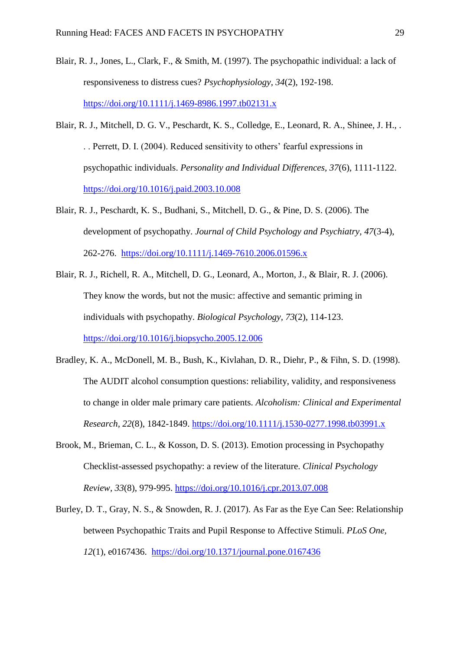- <span id="page-28-4"></span>Blair, R. J., Jones, L., Clark, F., & Smith, M. (1997). The psychopathic individual: a lack of responsiveness to distress cues? *Psychophysiology, 34*(2), 192-198. <https://doi.org/10.1111/j.1469-8986.1997.tb02131.x>
- <span id="page-28-1"></span>Blair, R. J., Mitchell, D. G. V., Peschardt, K. S., Colledge, E., Leonard, R. A., Shinee, J. H., . . . Perrett, D. I. (2004). Reduced sensitivity to others' fearful expressions in psychopathic individuals. *Personality and Individual Differences, 37*(6), 1111-1122. <https://doi.org/10.1016/j.paid.2003.10.008>
- <span id="page-28-0"></span>Blair, R. J., Peschardt, K. S., Budhani, S., Mitchell, D. G., & Pine, D. S. (2006). The development of psychopathy. *Journal of Child Psychology and Psychiatry, 47*(3-4), 262-276. <https://doi.org/10.1111/j.1469-7610.2006.01596.x>
- <span id="page-28-5"></span>Blair, R. J., Richell, R. A., Mitchell, D. G., Leonard, A., Morton, J., & Blair, R. J. (2006). They know the words, but not the music: affective and semantic priming in individuals with psychopathy. *Biological Psychology, 73*(2), 114-123. <https://doi.org/10.1016/j.biopsycho.2005.12.006>
- <span id="page-28-3"></span>Bradley, K. A., McDonell, M. B., Bush, K., Kivlahan, D. R., Diehr, P., & Fihn, S. D. (1998). The AUDIT alcohol consumption questions: reliability, validity, and responsiveness to change in older male primary care patients. *Alcoholism: Clinical and Experimental Research, 22*(8), 1842-1849.<https://doi.org/10.1111/j.1530-0277.1998.tb03991.x>
- <span id="page-28-2"></span>Brook, M., Brieman, C. L., & Kosson, D. S. (2013). Emotion processing in Psychopathy Checklist-assessed psychopathy: a review of the literature. *Clinical Psychology Review, 33*(8), 979-995.<https://doi.org/10.1016/j.cpr.2013.07.008>
- <span id="page-28-6"></span>Burley, D. T., Gray, N. S., & Snowden, R. J. (2017). As Far as the Eye Can See: Relationship between Psychopathic Traits and Pupil Response to Affective Stimuli. *PLoS One, 12*(1), e0167436. <https://doi.org/10.1371/journal.pone.0167436>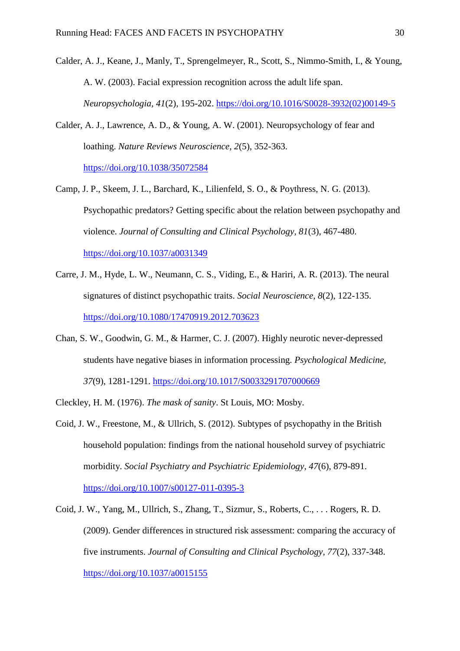- <span id="page-29-6"></span>Calder, A. J., Keane, J., Manly, T., Sprengelmeyer, R., Scott, S., Nimmo-Smith, I., & Young, A. W. (2003). Facial expression recognition across the adult life span. *Neuropsychologia, 41*(2), 195-202. [https://doi.org/10.1016/S0028-3932\(02\)00149-5](https://doi.org/10.1016/S0028-3932(02)00149-5)
- <span id="page-29-7"></span>Calder, A. J., Lawrence, A. D., & Young, A. W. (2001). Neuropsychology of fear and loathing. *Nature Reviews Neuroscience, 2*(5), 352-363. <https://doi.org/10.1038/35072584>
- <span id="page-29-5"></span>Camp, J. P., Skeem, J. L., Barchard, K., Lilienfeld, S. O., & Poythress, N. G. (2013). Psychopathic predators? Getting specific about the relation between psychopathy and violence. *Journal of Consulting and Clinical Psychology, 81*(3), 467-480. <https://doi.org/10.1037/a0031349>
- <span id="page-29-2"></span>Carre, J. M., Hyde, L. W., Neumann, C. S., Viding, E., & Hariri, A. R. (2013). The neural signatures of distinct psychopathic traits. *Social Neuroscience, 8*(2), 122-135. <https://doi.org/10.1080/17470919.2012.703623>
- <span id="page-29-4"></span>Chan, S. W., Goodwin, G. M., & Harmer, C. J. (2007). Highly neurotic never-depressed students have negative biases in information processing. *Psychological Medicine, 37*(9), 1281-1291. <https://doi.org/10.1017/S0033291707000669>
- <span id="page-29-0"></span>Cleckley, H. M. (1976). *The mask of sanity*. St Louis, MO: Mosby.
- <span id="page-29-1"></span>Coid, J. W., Freestone, M., & Ullrich, S. (2012). Subtypes of psychopathy in the British household population: findings from the national household survey of psychiatric morbidity. *Social Psychiatry and Psychiatric Epidemiology, 47*(6), 879-891. <https://doi.org/10.1007/s00127-011-0395-3>
- <span id="page-29-3"></span>Coid, J. W., Yang, M., Ullrich, S., Zhang, T., Sizmur, S., Roberts, C., . . . Rogers, R. D. (2009). Gender differences in structured risk assessment: comparing the accuracy of five instruments. *Journal of Consulting and Clinical Psychology, 77*(2), 337-348. <https://doi.org/10.1037/a0015155>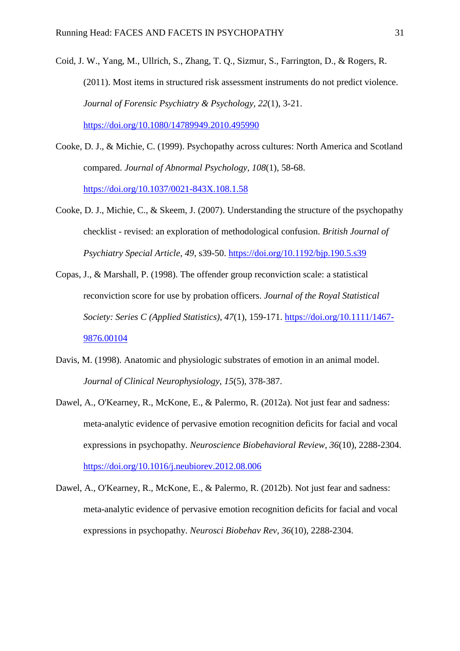- <span id="page-30-3"></span>Coid, J. W., Yang, M., Ullrich, S., Zhang, T. Q., Sizmur, S., Farrington, D., & Rogers, R. (2011). Most items in structured risk assessment instruments do not predict violence. *Journal of Forensic Psychiatry & Psychology, 22*(1), 3-21. <https://doi.org/10.1080/14789949.2010.495990>
- <span id="page-30-0"></span>Cooke, D. J., & Michie, C. (1999). Psychopathy across cultures: North America and Scotland compared. *Journal of Abnormal Psychology, 108*(1), 58-68. <https://doi.org/10.1037/0021-843X.108.1.58>
- <span id="page-30-5"></span>Cooke, D. J., Michie, C., & Skeem, J. (2007). Understanding the structure of the psychopathy checklist - revised: an exploration of methodological confusion. *British Journal of Psychiatry Special Article, 49*, s39-50.<https://doi.org/10.1192/bjp.190.5.s39>
- <span id="page-30-4"></span>Copas, J., & Marshall, P. (1998). The offender group reconviction scale: a statistical reconviction score for use by probation officers. *Journal of the Royal Statistical Society: Series C (Applied Statistics), 47*(1), 159-171. [https://doi.org/10.1111/1467-](https://doi.org/10.1111/1467-9876.00104) [9876.00104](https://doi.org/10.1111/1467-9876.00104)
- <span id="page-30-1"></span>Davis, M. (1998). Anatomic and physiologic substrates of emotion in an animal model. *Journal of Clinical Neurophysiology, 15*(5), 378-387.
- <span id="page-30-2"></span>Dawel, A., O'Kearney, R., McKone, E., & Palermo, R. (2012a). Not just fear and sadness: meta-analytic evidence of pervasive emotion recognition deficits for facial and vocal expressions in psychopathy. *Neuroscience Biobehavioral Review, 36*(10), 2288-2304. <https://doi.org/10.1016/j.neubiorev.2012.08.006>
- <span id="page-30-6"></span>Dawel, A., O'Kearney, R., McKone, E., & Palermo, R. (2012b). Not just fear and sadness: meta-analytic evidence of pervasive emotion recognition deficits for facial and vocal expressions in psychopathy. *Neurosci Biobehav Rev, 36*(10), 2288-2304.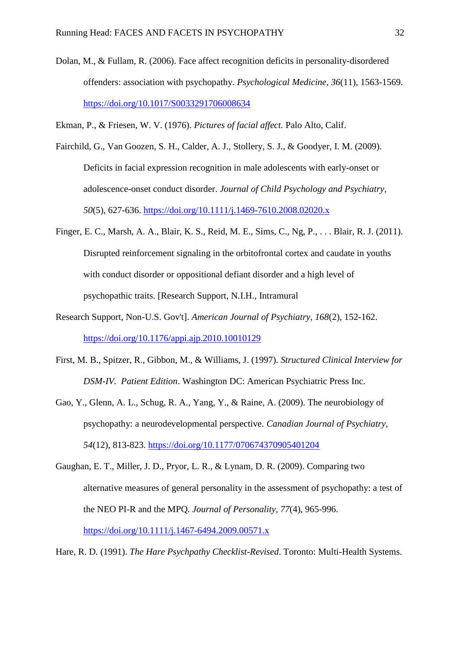- <span id="page-31-4"></span>Dolan, M., & Fullam, R. (2006). Face affect recognition deficits in personality-disordered offenders: association with psychopathy. *Psychological Medicine, 36*(11), 1563-1569. <https://doi.org/10.1017/S0033291706008634>
- <span id="page-31-6"></span>Ekman, P., & Friesen, W. V. (1976). *Pictures of facial affect.* Palo Alto, Calif.
- <span id="page-31-5"></span>Fairchild, G., Van Goozen, S. H., Calder, A. J., Stollery, S. J., & Goodyer, I. M. (2009). Deficits in facial expression recognition in male adolescents with early-onset or adolescence-onset conduct disorder. *Journal of Child Psychology and Psychiatry, 50*(5), 627-636. <https://doi.org/10.1111/j.1469-7610.2008.02020.x>
- <span id="page-31-7"></span>Finger, E. C., Marsh, A. A., Blair, K. S., Reid, M. E., Sims, C., Ng, P., . . . Blair, R. J. (2011). Disrupted reinforcement signaling in the orbitofrontal cortex and caudate in youths with conduct disorder or oppositional defiant disorder and a high level of psychopathic traits. [Research Support, N.I.H., Intramural
- Research Support, Non-U.S. Gov't]. *American Journal of Psychiatry, 168*(2), 152-162. <https://doi.org/10.1176/appi.ajp.2010.10010129>
- <span id="page-31-3"></span>First, M. B., Spitzer, R., Gibbon, M., & Williams, J. (1997). *Structured Clinical Interview for DSM-IV. Patient Edition*. Washington DC: American Psychiatric Press Inc.
- <span id="page-31-1"></span>Gao, Y., Glenn, A. L., Schug, R. A., Yang, Y., & Raine, A. (2009). The neurobiology of psychopathy: a neurodevelopmental perspective. *Canadian Journal of Psychiatry, 54*(12), 813-823. <https://doi.org/10.1177/070674370905401204>
- <span id="page-31-0"></span>Gaughan, E. T., Miller, J. D., Pryor, L. R., & Lynam, D. R. (2009). Comparing two alternative measures of general personality in the assessment of psychopathy: a test of the NEO PI-R and the MPQ. *Journal of Personality, 77*(4), 965-996. <https://doi.org/10.1111/j.1467-6494.2009.00571.x>
- <span id="page-31-2"></span>Hare, R. D. (1991). *The Hare Psychpathy Checklist-Revised*. Toronto: Multi-Health Systems.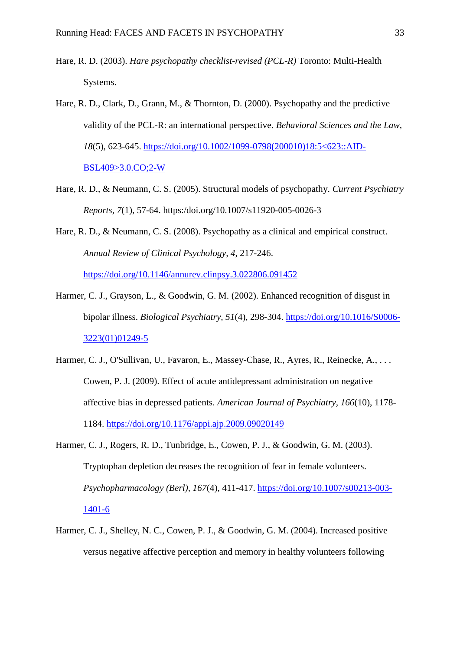- <span id="page-32-3"></span>Hare, R. D. (2003). *Hare psychopathy checklist-revised (PCL-R)* Toronto: Multi-Health Systems.
- <span id="page-32-1"></span>Hare, R. D., Clark, D., Grann, M., & Thornton, D. (2000). Psychopathy and the predictive validity of the PCL-R: an international perspective. *Behavioral Sciences and the Law, 18*(5), 623-645. [https://doi.org/10.1002/1099-0798\(200010\)18:5<623::AID-](https://doi.org/10.1002/1099-0798(200010)18:5%3c623::AID-BSL409%3e3.0.CO;2-W)[BSL409>3.0.CO;2-W](https://doi.org/10.1002/1099-0798(200010)18:5%3c623::AID-BSL409%3e3.0.CO;2-W)
- <span id="page-32-2"></span>Hare, R. D., & Neumann, C. S. (2005). Structural models of psychopathy. *Current Psychiatry Reports, 7*(1), 57-64. https:/doi.org/10.1007/s11920-005-0026-3
- <span id="page-32-0"></span>Hare, R. D., & Neumann, C. S. (2008). Psychopathy as a clinical and empirical construct. *Annual Review of Clinical Psychology, 4*, 217-246. <https://doi.org/10.1146/annurev.clinpsy.3.022806.091452>
- <span id="page-32-7"></span>Harmer, C. J., Grayson, L., & Goodwin, G. M. (2002). Enhanced recognition of disgust in bipolar illness. *Biological Psychiatry, 51*(4), 298-304. [https://doi.org/10.1016/S0006-](https://doi.org/10.1016/S0006-3223(01)01249-5) [3223\(01\)01249-5](https://doi.org/10.1016/S0006-3223(01)01249-5)
- <span id="page-32-4"></span>Harmer, C. J., O'Sullivan, U., Favaron, E., Massey-Chase, R., Ayres, R., Reinecke, A., ... Cowen, P. J. (2009). Effect of acute antidepressant administration on negative affective bias in depressed patients. *American Journal of Psychiatry, 166*(10), 1178- 1184. <https://doi.org/10.1176/appi.ajp.2009.09020149>
- <span id="page-32-5"></span>Harmer, C. J., Rogers, R. D., Tunbridge, E., Cowen, P. J., & Goodwin, G. M. (2003). Tryptophan depletion decreases the recognition of fear in female volunteers. *Psychopharmacology (Berl), 167*(4), 411-417. [https://doi.org/10.1007/s00213-003-](https://doi.org/10.1007/s00213-003-1401-6) [1401-6](https://doi.org/10.1007/s00213-003-1401-6)
- <span id="page-32-6"></span>Harmer, C. J., Shelley, N. C., Cowen, P. J., & Goodwin, G. M. (2004). Increased positive versus negative affective perception and memory in healthy volunteers following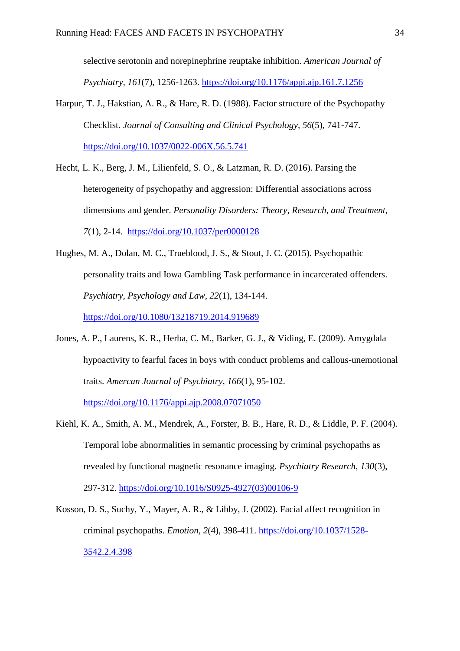selective serotonin and norepinephrine reuptake inhibition. *American Journal of Psychiatry, 161*(7), 1256-1263.<https://doi.org/10.1176/appi.ajp.161.7.1256>

- <span id="page-33-1"></span>Harpur, T. J., Hakstian, A. R., & Hare, R. D. (1988). Factor structure of the Psychopathy Checklist. *Journal of Consulting and Clinical Psychology, 56*(5), 741-747. <https://doi.org/10.1037/0022-006X.56.5.741>
- <span id="page-33-5"></span>Hecht, L. K., Berg, J. M., Lilienfeld, S. O., & Latzman, R. D. (2016). Parsing the heterogeneity of psychopathy and aggression: Differential associations across dimensions and gender. *Personality Disorders: Theory, Research, and Treatment, 7*(1), 2-14. <https://doi.org/10.1037/per0000128>
- <span id="page-33-2"></span>Hughes, M. A., Dolan, M. C., Trueblood, J. S., & Stout, J. C. (2015). Psychopathic personality traits and Iowa Gambling Task performance in incarcerated offenders. *Psychiatry, Psychology and Law, 22*(1), 134-144. <https://doi.org/10.1080/13218719.2014.919689>
- <span id="page-33-0"></span>Jones, A. P., Laurens, K. R., Herba, C. M., Barker, G. J., & Viding, E. (2009). Amygdala hypoactivity to fearful faces in boys with conduct problems and callous-unemotional traits. *Amercan Journal of Psychiatry, 166*(1), 95-102.

<https://doi.org/10.1176/appi.ajp.2008.07071050>

- <span id="page-33-4"></span>Kiehl, K. A., Smith, A. M., Mendrek, A., Forster, B. B., Hare, R. D., & Liddle, P. F. (2004). Temporal lobe abnormalities in semantic processing by criminal psychopaths as revealed by functional magnetic resonance imaging. *Psychiatry Research, 130*(3), 297-312. [https://doi.org/10.1016/S0925-4927\(03\)00106-9](https://doi.org/10.1016/S0925-4927(03)00106-9)
- <span id="page-33-3"></span>Kosson, D. S., Suchy, Y., Mayer, A. R., & Libby, J. (2002). Facial affect recognition in criminal psychopaths. *Emotion, 2*(4), 398-411. [https://doi.org/10.1037/1528-](https://doi.org/10.1037/1528-3542.2.4.398) [3542.2.4.398](https://doi.org/10.1037/1528-3542.2.4.398)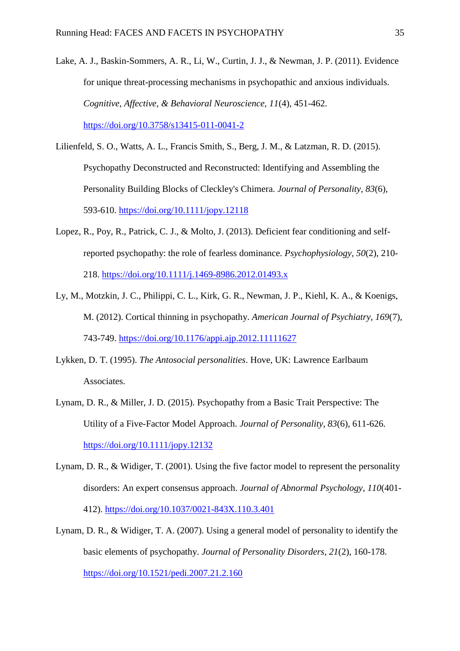- <span id="page-34-5"></span>Lake, A. J., Baskin-Sommers, A. R., Li, W., Curtin, J. J., & Newman, J. P. (2011). Evidence for unique threat-processing mechanisms in psychopathic and anxious individuals. *Cognitive, Affective, & Behavioral Neuroscience, 11*(4), 451-462. <https://doi.org/10.3758/s13415-011-0041-2>
- <span id="page-34-0"></span>Lilienfeld, S. O., Watts, A. L., Francis Smith, S., Berg, J. M., & Latzman, R. D. (2015). Psychopathy Deconstructed and Reconstructed: Identifying and Assembling the Personality Building Blocks of Cleckley's Chimera. *Journal of Personality, 83*(6), 593-610. <https://doi.org/10.1111/jopy.12118>
- <span id="page-34-6"></span>Lopez, R., Poy, R., Patrick, C. J., & Molto, J. (2013). Deficient fear conditioning and selfreported psychopathy: the role of fearless dominance. *Psychophysiology, 50*(2), 210- 218. <https://doi.org/10.1111/j.1469-8986.2012.01493.x>
- <span id="page-34-4"></span>Ly, M., Motzkin, J. C., Philippi, C. L., Kirk, G. R., Newman, J. P., Kiehl, K. A., & Koenigs, M. (2012). Cortical thinning in psychopathy. *American Journal of Psychiatry, 169*(7), 743-749. <https://doi.org/10.1176/appi.ajp.2012.11111627>
- <span id="page-34-7"></span>Lykken, D. T. (1995). *The Antosocial personalities*. Hove, UK: Lawrence Earlbaum Associates.
- <span id="page-34-1"></span>Lynam, D. R., & Miller, J. D. (2015). Psychopathy from a Basic Trait Perspective: The Utility of a Five-Factor Model Approach. *Journal of Personality, 83*(6), 611-626. <https://doi.org/10.1111/jopy.12132>
- <span id="page-34-2"></span>Lynam, D. R., & Widiger, T. (2001). Using the five factor model to represent the personality disorders: An expert consensus approach. *Journal of Abnormal Psychology, 110*(401- 412).<https://doi.org/10.1037/0021-843X.110.3.401>
- <span id="page-34-3"></span>Lynam, D. R., & Widiger, T. A. (2007). Using a general model of personality to identify the basic elements of psychopathy. *Journal of Personality Disorders, 21*(2), 160-178. <https://doi.org/10.1521/pedi.2007.21.2.160>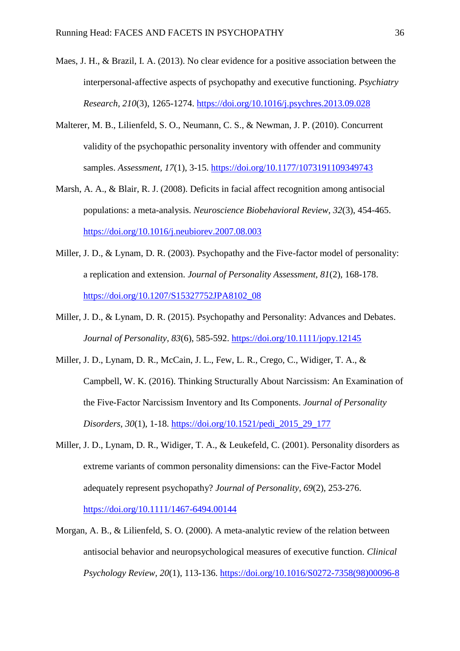- <span id="page-35-5"></span>Maes, J. H., & Brazil, I. A. (2013). No clear evidence for a positive association between the interpersonal-affective aspects of psychopathy and executive functioning. *Psychiatry Research, 210*(3), 1265-1274.<https://doi.org/10.1016/j.psychres.2013.09.028>
- <span id="page-35-0"></span>Malterer, M. B., Lilienfeld, S. O., Neumann, C. S., & Newman, J. P. (2010). Concurrent validity of the psychopathic personality inventory with offender and community samples. *Assessment, 17*(1), 3-15.<https://doi.org/10.1177/1073191109349743>
- <span id="page-35-6"></span>Marsh, A. A., & Blair, R. J. (2008). Deficits in facial affect recognition among antisocial populations: a meta-analysis. *Neuroscience Biobehavioral Review, 32*(3), 454-465. <https://doi.org/10.1016/j.neubiorev.2007.08.003>
- <span id="page-35-1"></span>Miller, J. D., & Lynam, D. R. (2003). Psychopathy and the Five-factor model of personality: a replication and extension. *Journal of Personality Assessment, 81*(2), 168-178. [https://doi.org/10.1207/S15327752JPA8102\\_08](https://doi.org/10.1207/S15327752JPA8102_08)
- <span id="page-35-7"></span>Miller, J. D., & Lynam, D. R. (2015). Psychopathy and Personality: Advances and Debates. *Journal of Personality, 83*(6), 585-592.<https://doi.org/10.1111/jopy.12145>
- <span id="page-35-2"></span>Miller, J. D., Lynam, D. R., McCain, J. L., Few, L. R., Crego, C., Widiger, T. A., & Campbell, W. K. (2016). Thinking Structurally About Narcissism: An Examination of the Five-Factor Narcissism Inventory and Its Components. *Journal of Personality Disorders, 30*(1), 1-18. [https://doi.org/10.1521/pedi\\_2015\\_29\\_177](https://doi.org/10.1521/pedi_2015_29_177)
- <span id="page-35-3"></span>Miller, J. D., Lynam, D. R., Widiger, T. A., & Leukefeld, C. (2001). Personality disorders as extreme variants of common personality dimensions: can the Five-Factor Model adequately represent psychopathy? *Journal of Personality, 69*(2), 253-276. <https://doi.org/10.1111/1467-6494.00144>
- <span id="page-35-4"></span>Morgan, A. B., & Lilienfeld, S. O. (2000). A meta-analytic review of the relation between antisocial behavior and neuropsychological measures of executive function. *Clinical Psychology Review, 20*(1), 113-136. [https://doi.org/10.1016/S0272-7358\(98\)00096-8](https://doi.org/10.1016/S0272-7358(98)00096-8)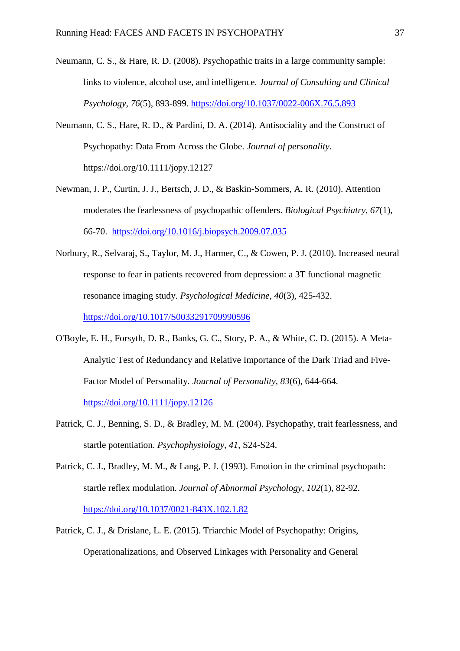- <span id="page-36-1"></span>Neumann, C. S., & Hare, R. D. (2008). Psychopathic traits in a large community sample: links to violence, alcohol use, and intelligence. *Journal of Consulting and Clinical Psychology, 76*(5), 893-899.<https://doi.org/10.1037/0022-006X.76.5.893>
- <span id="page-36-6"></span>Neumann, C. S., Hare, R. D., & Pardini, D. A. (2014). Antisociality and the Construct of Psychopathy: Data From Across the Globe. *Journal of personality*. https://doi.org/10.1111/jopy.12127
- <span id="page-36-5"></span>Newman, J. P., Curtin, J. J., Bertsch, J. D., & Baskin-Sommers, A. R. (2010). Attention moderates the fearlessness of psychopathic offenders. *Biological Psychiatry, 67*(1), 66-70. <https://doi.org/10.1016/j.biopsych.2009.07.035>
- <span id="page-36-4"></span>Norbury, R., Selvaraj, S., Taylor, M. J., Harmer, C., & Cowen, P. J. (2010). Increased neural response to fear in patients recovered from depression: a 3T functional magnetic resonance imaging study. *Psychological Medicine, 40*(3), 425-432. <https://doi.org/10.1017/S0033291709990596>
- <span id="page-36-7"></span>O'Boyle, E. H., Forsyth, D. R., Banks, G. C., Story, P. A., & White, C. D. (2015). A Meta-Analytic Test of Redundancy and Relative Importance of the Dark Triad and Five-Factor Model of Personality. *Journal of Personality, 83*(6), 644-664. <https://doi.org/10.1111/jopy.12126>
- <span id="page-36-2"></span>Patrick, C. J., Benning, S. D., & Bradley, M. M. (2004). Psychopathy, trait fearlessness, and startle potentiation. *Psychophysiology, 41*, S24-S24.
- <span id="page-36-3"></span>Patrick, C. J., Bradley, M. M., & Lang, P. J. (1993). Emotion in the criminal psychopath: startle reflex modulation. *Journal of Abnormal Psychology, 102*(1), 82-92. <https://doi.org/10.1037/0021-843X.102.1.82>
- <span id="page-36-0"></span>Patrick, C. J., & Drislane, L. E. (2015). Triarchic Model of Psychopathy: Origins, Operationalizations, and Observed Linkages with Personality and General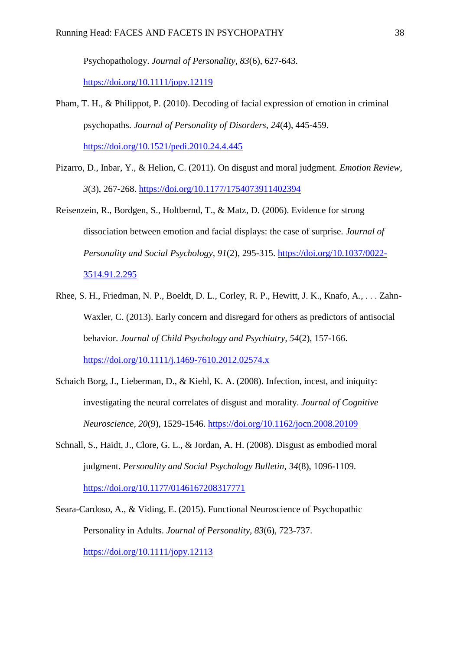Psychopathology. *Journal of Personality, 83*(6), 627-643.

<https://doi.org/10.1111/jopy.12119>

- <span id="page-37-1"></span>Pham, T. H., & Philippot, P. (2010). Decoding of facial expression of emotion in criminal psychopaths. *Journal of Personality of Disorders, 24*(4), 445-459. <https://doi.org/10.1521/pedi.2010.24.4.445>
- <span id="page-37-5"></span>Pizarro, D., Inbar, Y., & Helion, C. (2011). On disgust and moral judgment. *Emotion Review, 3*(3), 267-268.<https://doi.org/10.1177/1754073911402394>
- <span id="page-37-6"></span>Reisenzein, R., Bordgen, S., Holtbernd, T., & Matz, D. (2006). Evidence for strong dissociation between emotion and facial displays: the case of surprise. *Journal of Personality and Social Psychology, 91*(2), 295-315. [https://doi.org/10.1037/0022-](https://doi.org/10.1037/0022-3514.91.2.295) [3514.91.2.295](https://doi.org/10.1037/0022-3514.91.2.295)
- <span id="page-37-2"></span>Rhee, S. H., Friedman, N. P., Boeldt, D. L., Corley, R. P., Hewitt, J. K., Knafo, A., . . . Zahn-Waxler, C. (2013). Early concern and disregard for others as predictors of antisocial behavior. *Journal of Child Psychology and Psychiatry, 54*(2), 157-166. <https://doi.org/10.1111/j.1469-7610.2012.02574.x>
- <span id="page-37-3"></span>Schaich Borg, J., Lieberman, D., & Kiehl, K. A. (2008). Infection, incest, and iniquity: investigating the neural correlates of disgust and morality. *Journal of Cognitive Neuroscience, 20*(9), 1529-1546.<https://doi.org/10.1162/jocn.2008.20109>
- <span id="page-37-4"></span>Schnall, S., Haidt, J., Clore, G. L., & Jordan, A. H. (2008). Disgust as embodied moral judgment. *Personality and Social Psychology Bulletin, 34*(8), 1096-1109. <https://doi.org/10.1177/0146167208317771>
- <span id="page-37-0"></span>Seara-Cardoso, A., & Viding, E. (2015). Functional Neuroscience of Psychopathic Personality in Adults. *Journal of Personality, 83*(6), 723-737. <https://doi.org/10.1111/jopy.12113>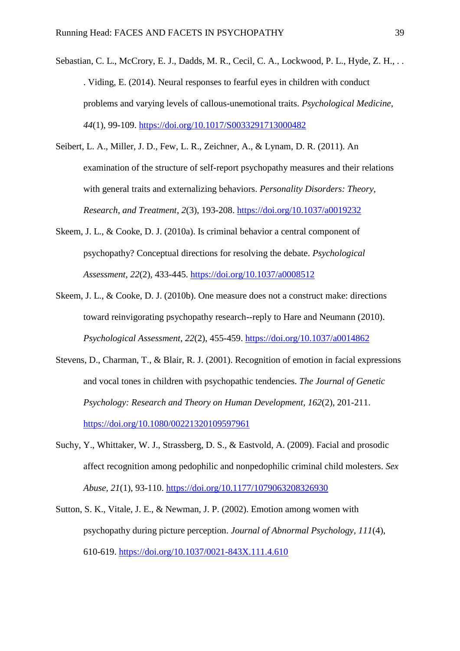- <span id="page-38-2"></span>Sebastian, C. L., McCrory, E. J., Dadds, M. R., Cecil, C. A., Lockwood, P. L., Hyde, Z. H., .. . Viding, E. (2014). Neural responses to fearful eyes in children with conduct problems and varying levels of callous-unemotional traits. *Psychological Medicine, 44*(1), 99-109. <https://doi.org/10.1017/S0033291713000482>
- <span id="page-38-5"></span>Seibert, L. A., Miller, J. D., Few, L. R., Zeichner, A., & Lynam, D. R. (2011). An examination of the structure of self-report psychopathy measures and their relations with general traits and externalizing behaviors. *Personality Disorders: Theory, Research, and Treatment, 2*(3), 193-208.<https://doi.org/10.1037/a0019232>
- <span id="page-38-3"></span>Skeem, J. L., & Cooke, D. J. (2010a). Is criminal behavior a central component of psychopathy? Conceptual directions for resolving the debate. *Psychological Assessment, 22*(2), 433-445.<https://doi.org/10.1037/a0008512>
- <span id="page-38-4"></span>Skeem, J. L., & Cooke, D. J. (2010b). One measure does not a construct make: directions toward reinvigorating psychopathy research--reply to Hare and Neumann (2010). *Psychological Assessment, 22*(2), 455-459.<https://doi.org/10.1037/a0014862>
- <span id="page-38-1"></span>Stevens, D., Charman, T., & Blair, R. J. (2001). Recognition of emotion in facial expressions and vocal tones in children with psychopathic tendencies. *The Journal of Genetic Psychology: Research and Theory on Human Development, 162*(2), 201-211. <https://doi.org/10.1080/00221320109597961>
- <span id="page-38-6"></span>Suchy, Y., Whittaker, W. J., Strassberg, D. S., & Eastvold, A. (2009). Facial and prosodic affect recognition among pedophilic and nonpedophilic criminal child molesters. *Sex Abuse, 21*(1), 93-110.<https://doi.org/10.1177/1079063208326930>
- <span id="page-38-0"></span>Sutton, S. K., Vitale, J. E., & Newman, J. P. (2002). Emotion among women with psychopathy during picture perception. *Journal of Abnormal Psychology, 111*(4), 610-619. <https://doi.org/10.1037/0021-843X.111.4.610>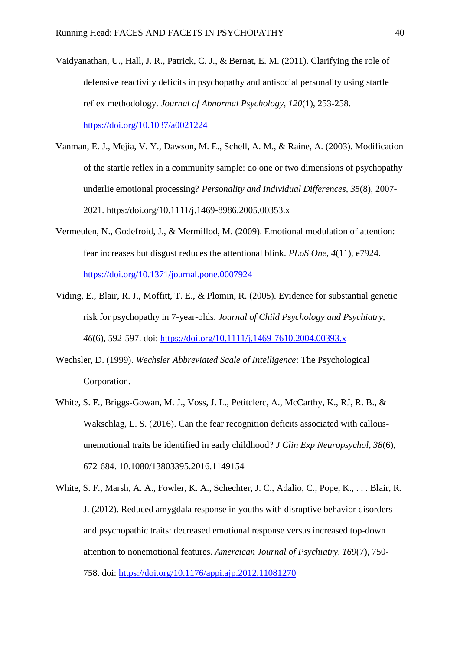- <span id="page-39-2"></span>Vaidyanathan, U., Hall, J. R., Patrick, C. J., & Bernat, E. M. (2011). Clarifying the role of defensive reactivity deficits in psychopathy and antisocial personality using startle reflex methodology. *Journal of Abnormal Psychology, 120*(1), 253-258. <https://doi.org/10.1037/a0021224>
- <span id="page-39-1"></span>Vanman, E. J., Mejia, V. Y., Dawson, M. E., Schell, A. M., & Raine, A. (2003). Modification of the startle reflex in a community sample: do one or two dimensions of psychopathy underlie emotional processing? *Personality and Individual Differences, 35*(8), 2007- 2021. https:/doi.org/10.1111/j.1469-8986.2005.00353.x
- <span id="page-39-6"></span>Vermeulen, N., Godefroid, J., & Mermillod, M. (2009). Emotional modulation of attention: fear increases but disgust reduces the attentional blink. *PLoS One, 4*(11), e7924. <https://doi.org/10.1371/journal.pone.0007924>
- <span id="page-39-0"></span>Viding, E., Blair, R. J., Moffitt, T. E., & Plomin, R. (2005). Evidence for substantial genetic risk for psychopathy in 7-year-olds. *Journal of Child Psychology and Psychiatry, 46*(6), 592-597. doi:<https://doi.org/10.1111/j.1469-7610.2004.00393.x>
- <span id="page-39-5"></span>Wechsler, D. (1999). *Wechsler Abbreviated Scale of Intelligence*: The Psychological Corporation.
- <span id="page-39-3"></span>White, S. F., Briggs-Gowan, M. J., Voss, J. L., Petitclerc, A., McCarthy, K., RJ, R. B., & Wakschlag, L. S. (2016). Can the fear recognition deficits associated with callousunemotional traits be identified in early childhood? *J Clin Exp Neuropsychol, 38*(6), 672-684. 10.1080/13803395.2016.1149154
- <span id="page-39-4"></span>White, S. F., Marsh, A. A., Fowler, K. A., Schechter, J. C., Adalio, C., Pope, K., . . . Blair, R. J. (2012). Reduced amygdala response in youths with disruptive behavior disorders and psychopathic traits: decreased emotional response versus increased top-down attention to nonemotional features. *Amercican Journal of Psychiatry, 169*(7), 750- 758. doi:<https://doi.org/10.1176/appi.ajp.2012.11081270>